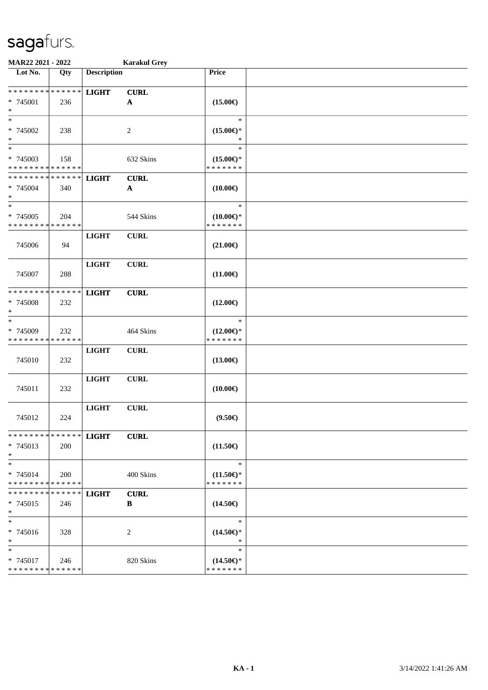| MAR22 2021 - 2022                       |                    |                    | <b>Karakul Grey</b>       |                                      |  |
|-----------------------------------------|--------------------|--------------------|---------------------------|--------------------------------------|--|
| Lot No.                                 | Qty                | <b>Description</b> |                           | Price                                |  |
| **************                          |                    | <b>LIGHT</b>       | <b>CURL</b>               |                                      |  |
| * 745001<br>$\ast$                      | 236                |                    | $\mathbf{A}$              | $(15.00\epsilon)$                    |  |
| $\ast$                                  |                    |                    |                           | $\ast$                               |  |
| * 745002<br>$\ast$                      | 238                |                    | 2                         | $(15.00\epsilon)$ *<br>*             |  |
| $\overline{\phantom{1}}$<br>* 745003    |                    |                    | 632 Skins                 | $\ast$                               |  |
| * * * * * * * * * * * * * *             | 158                |                    |                           | $(15.00\epsilon)$ *<br>* * * * * * * |  |
| * * * * * * * * * * * * * *             |                    | <b>LIGHT</b>       | <b>CURL</b>               |                                      |  |
| * 745004<br>$\ast$                      | 340                |                    | $\boldsymbol{\mathsf{A}}$ | $(10.00\epsilon)$                    |  |
| $\ast$                                  |                    |                    |                           | $\ast$                               |  |
| * 745005<br>* * * * * * * * * * * * * * | 204                |                    | 544 Skins                 | $(10.00\epsilon)$ *<br>* * * * * * * |  |
|                                         |                    | <b>LIGHT</b>       | <b>CURL</b>               |                                      |  |
| 745006                                  | 94                 |                    |                           | $(21.00\epsilon)$                    |  |
|                                         |                    | <b>LIGHT</b>       | <b>CURL</b>               |                                      |  |
| 745007                                  | 288                |                    |                           | $(11.00\epsilon)$                    |  |
| * * * * * * * * * * * * * *             |                    | <b>LIGHT</b>       | <b>CURL</b>               |                                      |  |
| * 745008<br>$\ast$                      | 232                |                    |                           | $(12.00\epsilon)$                    |  |
| $\ast$                                  |                    |                    |                           | $\ast$                               |  |
| * 745009<br>* * * * * * * *             | 232<br>* * * * * * |                    | 464 Skins                 | $(12.00\epsilon)$ *<br>* * * * * * * |  |
|                                         |                    | <b>LIGHT</b>       | <b>CURL</b>               |                                      |  |
| 745010                                  | 232                |                    |                           | $(13.00\epsilon)$                    |  |
|                                         |                    | <b>LIGHT</b>       | <b>CURL</b>               |                                      |  |
| 745011                                  | 232                |                    |                           | $(10.00\epsilon)$                    |  |
|                                         |                    | <b>LIGHT</b>       | <b>CURL</b>               |                                      |  |
| 745012                                  | 224                |                    |                           | $(9.50\epsilon)$                     |  |
| ************** LIGHT                    |                    |                    | <b>CURL</b>               |                                      |  |
| $* 745013$<br>$*$                       | 200                |                    |                           | $(11.50\epsilon)$                    |  |
| $*$<br>* 745014                         |                    |                    |                           | $\ast$                               |  |
| * * * * * * * * * * * * * *             | 200                |                    | 400 Skins                 | $(11.50\epsilon)$ *<br>* * * * * * * |  |
| * * * * * * * * * * * * * * *           |                    | <b>LIGHT</b>       | <b>CURL</b>               |                                      |  |
| $* 745015$<br>$*$                       | 246                |                    | B                         | $(14.50\epsilon)$                    |  |
| $\ast$                                  |                    |                    |                           | $\ast$                               |  |
| * 745016<br>$*$                         | 328                |                    | 2                         | $(14.50\epsilon)$ *<br>$\ast$        |  |
| $\ast$                                  |                    |                    |                           | $\ast$                               |  |
| * 745017<br>* * * * * * * * * * * * * * | 246                |                    | 820 Skins                 | $(14.50\epsilon)$ *<br>* * * * * * * |  |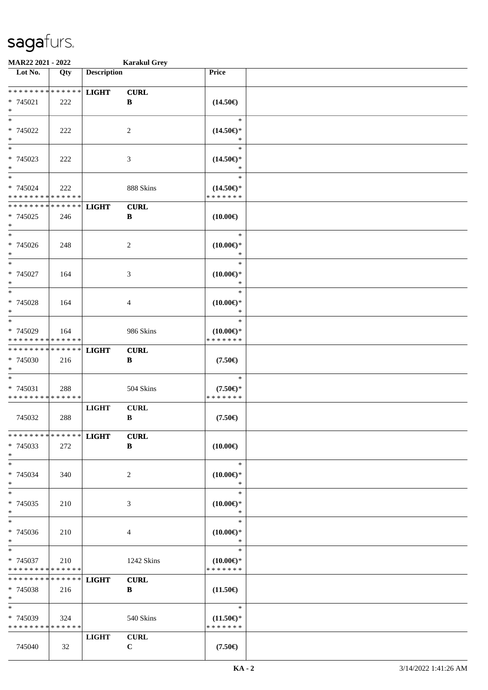| <b>MAR22 2021 - 2022</b>                   |     |                    | <b>Karakul Grey</b> |                     |  |
|--------------------------------------------|-----|--------------------|---------------------|---------------------|--|
| Lot No.                                    | Qty | <b>Description</b> |                     | Price               |  |
|                                            |     |                    |                     |                     |  |
| * * * * * * * * * * * * * *                |     | <b>LIGHT</b>       | <b>CURL</b>         |                     |  |
| * 745021<br>$*$                            | 222 |                    | B                   | $(14.50\epsilon)$   |  |
| $_{*}$                                     |     |                    |                     | $\ast$              |  |
|                                            |     |                    |                     |                     |  |
| * 745022<br>$\ast$                         | 222 |                    | 2                   | $(14.50\epsilon)$ * |  |
|                                            |     |                    |                     | $\ast$              |  |
| * 745023                                   | 222 |                    | 3                   | $(14.50\epsilon)$ * |  |
| $*$                                        |     |                    |                     | *                   |  |
| $\ast$                                     |     |                    |                     | $\ast$              |  |
| * 745024                                   | 222 |                    | 888 Skins           | $(14.50\epsilon)$ * |  |
| * * * * * * * * <mark>* * * * * * *</mark> |     |                    |                     | * * * * * * *       |  |
| * * * * * * * * * * * * * *                |     | <b>LIGHT</b>       | <b>CURL</b>         |                     |  |
| * 745025                                   | 246 |                    | $\, {\bf B}$        | $(10.00\epsilon)$   |  |
| $*$                                        |     |                    |                     |                     |  |
| $\overline{\phantom{0}}$                   |     |                    |                     | $\ast$              |  |
| * 745026                                   | 248 |                    | $\overline{c}$      | $(10.00\epsilon)$ * |  |
| $*$                                        |     |                    |                     | $\ast$              |  |
| $\frac{1}{\ast}$                           |     |                    |                     | $\ast$              |  |
| * 745027                                   | 164 |                    | 3                   | $(10.00\epsilon)$ * |  |
| $\ast$                                     |     |                    |                     | $\ast$              |  |
| $*$                                        |     |                    |                     | $\ast$              |  |
| * 745028                                   | 164 |                    | 4                   | $(10.00\epsilon)$ * |  |
| $*$                                        |     |                    |                     | ∗                   |  |
| $\overline{\phantom{0}}$                   |     |                    |                     | $\ast$              |  |
| * 745029                                   | 164 |                    | 986 Skins           | $(10.00\epsilon)$ * |  |
| * * * * * * * * * * * * * *                |     |                    |                     | * * * * * * *       |  |
| * * * * * * * * * * * * * *                |     | <b>LIGHT</b>       | <b>CURL</b>         |                     |  |
| * 745030                                   | 216 |                    | $\, {\bf B}$        | $(7.50\epsilon)$    |  |
| $*$                                        |     |                    |                     |                     |  |
| $*$                                        |     |                    |                     | $\ast$              |  |
| * 745031                                   | 288 |                    | 504 Skins           | $(7.50 \in )^*$     |  |
| * * * * * * * * * * * * * *                |     |                    |                     | * * * * * * *       |  |
|                                            |     | <b>LIGHT</b>       | <b>CURL</b>         |                     |  |
| 745032                                     | 288 |                    | $\, {\bf B}$        | $(7.50\epsilon)$    |  |
| * * * * * * * * * * * * * * *              |     |                    |                     |                     |  |
| * 745033                                   | 272 | <b>LIGHT</b>       | <b>CURL</b><br>B    |                     |  |
| $*$                                        |     |                    |                     | $(10.00\epsilon)$   |  |
| $*$                                        |     |                    |                     | $\ast$              |  |
| * 745034                                   | 340 |                    | 2                   | $(10.00\epsilon)$ * |  |
| $*$                                        |     |                    |                     | ∗                   |  |
| $*$                                        |     |                    |                     | $\ast$              |  |
| * 745035                                   | 210 |                    | 3                   | $(10.00\epsilon)$ * |  |
| $*$                                        |     |                    |                     | $\ast$              |  |
| $*$                                        |     |                    |                     | $\ast$              |  |
| * 745036                                   | 210 |                    | 4                   | $(10.00\epsilon)$ * |  |
| $*$                                        |     |                    |                     | $\ast$              |  |
| $*$ $-$                                    |     |                    |                     | $\ast$              |  |
| * 745037                                   | 210 |                    | 1242 Skins          | $(10.00\epsilon)$ * |  |
| * * * * * * * * <mark>* * * * * * *</mark> |     |                    |                     | * * * * * * *       |  |
| * * * * * * * * * * * * * * *              |     | <b>LIGHT</b>       | <b>CURL</b>         |                     |  |
| * 745038                                   | 216 |                    | B                   | $(11.50\epsilon)$   |  |
| $*$                                        |     |                    |                     |                     |  |
| $*$                                        |     |                    |                     | $\ast$              |  |
| * 745039                                   | 324 |                    | 540 Skins           | $(11.50\epsilon)$ * |  |
| * * * * * * * * * * * * * *                |     |                    |                     | * * * * * * *       |  |
|                                            |     | <b>LIGHT</b>       | <b>CURL</b>         |                     |  |
| 745040                                     | 32  |                    | $\mathbf C$         | $(7.50\epsilon)$    |  |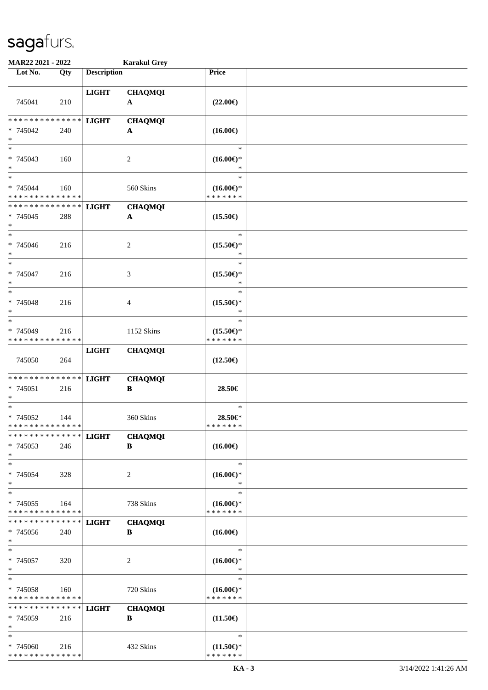| MAR22 2021 - 2022                                          |             |                    | <b>Karakul Grey</b>            |                                      |  |
|------------------------------------------------------------|-------------|--------------------|--------------------------------|--------------------------------------|--|
| Lot No.                                                    | Qty         | <b>Description</b> |                                | Price                                |  |
|                                                            |             |                    |                                |                                      |  |
|                                                            |             | <b>LIGHT</b>       | <b>CHAQMQI</b>                 |                                      |  |
| 745041                                                     | 210         |                    | $\mathbf{A}$                   | $(22.00\epsilon)$                    |  |
| * * * * * * * *                                            | * * * * * * |                    |                                |                                      |  |
| * 745042                                                   | 240         | <b>LIGHT</b>       | <b>CHAQMQI</b><br>A            | $(16.00\epsilon)$                    |  |
| $\ast$                                                     |             |                    |                                |                                      |  |
| $*$                                                        |             |                    |                                | $\ast$                               |  |
| * 745043                                                   | 160         |                    | $\overline{c}$                 | $(16.00\epsilon)$ *                  |  |
| $*$                                                        |             |                    |                                | *                                    |  |
| $*$                                                        |             |                    |                                | $\ast$                               |  |
| * 745044                                                   | 160         |                    | 560 Skins                      | $(16.00\epsilon)$ *<br>* * * * * * * |  |
| * * * * * * * * * * * * * *<br>* * * * * * * * * * * * * * |             |                    |                                |                                      |  |
| * 745045                                                   | 288         | <b>LIGHT</b>       | <b>CHAQMQI</b><br>$\mathbf{A}$ | $(15.50\epsilon)$                    |  |
| $\ast$                                                     |             |                    |                                |                                      |  |
| $\ast$                                                     |             |                    |                                | $\ast$                               |  |
| $* 745046$                                                 | 216         |                    | 2                              | $(15.50\epsilon)$ *                  |  |
| $\ast$                                                     |             |                    |                                | *                                    |  |
| $\ast$                                                     |             |                    |                                | $\ast$                               |  |
| * 745047                                                   | 216         |                    | 3                              | $(15.50\epsilon)$ *                  |  |
| $\ast$<br>$\ast$                                           |             |                    |                                | $\ast$<br>$\ast$                     |  |
| * 745048                                                   | 216         |                    | 4                              | $(15.50\epsilon)$ *                  |  |
| $\ast$                                                     |             |                    |                                | *                                    |  |
| $*$                                                        |             |                    |                                | $\ast$                               |  |
| * 745049                                                   | 216         |                    | 1152 Skins                     | $(15.50\epsilon)$ *                  |  |
| * * * * * * * * * * * * * *                                |             |                    |                                | * * * * * * *                        |  |
|                                                            |             | <b>LIGHT</b>       | <b>CHAQMQI</b>                 |                                      |  |
| 745050                                                     | 264         |                    |                                | $(12.50\epsilon)$                    |  |
| * * * * * * * * * * * * * *                                |             |                    |                                |                                      |  |
| * 745051                                                   | 216         | <b>LIGHT</b>       | <b>CHAQMQI</b><br>$\, {\bf B}$ | 28.50€                               |  |
| $*$                                                        |             |                    |                                |                                      |  |
| $\ast$                                                     |             |                    |                                | $\ast$                               |  |
| * 745052                                                   | 144         |                    | 360 Skins                      | 28.50€*                              |  |
| * * * * * * * * * * * * * * *                              |             |                    |                                | * * * * * * *                        |  |
| * * * * * * * * * * * * * * *                              |             | <b>LIGHT</b>       | <b>CHAQMQI</b>                 |                                      |  |
| * 745053<br>$*$                                            | 246         |                    | B                              | $(16.00\epsilon)$                    |  |
| $*$                                                        |             |                    |                                | $\ast$                               |  |
| * 745054                                                   | 328         |                    | 2                              | $(16.00\epsilon)$ *                  |  |
| $\ast$                                                     |             |                    |                                | $\ast$                               |  |
| $\ast$                                                     |             |                    |                                | $\ast$                               |  |
| * 745055                                                   | 164         |                    | 738 Skins                      | $(16.00\epsilon)$ *                  |  |
| * * * * * * * * * * * * * *                                |             |                    |                                | * * * * * * *                        |  |
| * * * * * * * *                                            | * * * * * * | <b>LIGHT</b>       | <b>CHAQMQI</b>                 |                                      |  |
| * 745056<br>$*$                                            | 240         |                    | B                              | $(16.00\epsilon)$                    |  |
| $*$                                                        |             |                    |                                | $\ast$                               |  |
| * 745057                                                   | 320         |                    | 2                              | $(16.00\epsilon)$ *                  |  |
| $*$                                                        |             |                    |                                | $\ast$                               |  |
| $*$                                                        |             |                    |                                | $\ast$                               |  |
| * 745058                                                   | 160         |                    | 720 Skins                      | $(16.00\epsilon)$ *                  |  |
| * * * * * * * * * * * * * *                                |             |                    |                                | * * * * * * *                        |  |
| * * * * * * * *                                            | * * * * * * | <b>LIGHT</b>       | <b>CHAQMQI</b>                 |                                      |  |
| * 745059<br>$\ast$                                         | 216         |                    | B                              | $(11.50\epsilon)$                    |  |
| $\ast$                                                     |             |                    |                                | $\ast$                               |  |
| * 745060                                                   | 216         |                    | 432 Skins                      | $(11.50\epsilon)$ *                  |  |
| * * * * * * * * * * * * * *                                |             |                    |                                | * * * * * * *                        |  |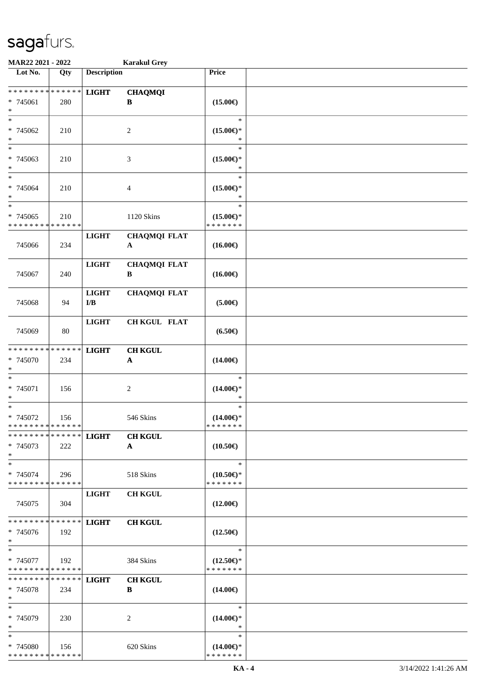| MAR22 2021 - 2022                                   |               |                                         | <b>Karakul Grey</b>                 |                                                |  |
|-----------------------------------------------------|---------------|-----------------------------------------|-------------------------------------|------------------------------------------------|--|
| Lot No.                                             | Qty           | <b>Description</b>                      |                                     | Price                                          |  |
| ******** <mark>******</mark><br>* 745061<br>$\ast$  | 280           | <b>LIGHT</b>                            | <b>CHAQMQI</b><br>B                 | $(15.00\epsilon)$                              |  |
| $*$<br>* 745062<br>$\ast$                           | 210           |                                         | 2                                   | $\ast$<br>$(15.00\epsilon)$ *<br>*             |  |
| $\ast$<br>* 745063<br>$\ast$                        | 210           |                                         | 3                                   | $\ast$<br>$(15.00\epsilon)$ *<br>*             |  |
| $\ast$<br>$* 745064$<br>$\ast$                      | 210           |                                         | 4                                   | $\ast$<br>$(15.00\epsilon)$ *<br>$\ast$        |  |
| $*$<br>* 745065<br>* * * * * * * * * * * * * *      | 210           |                                         | 1120 Skins                          | $\ast$<br>$(15.00\epsilon)$ *<br>* * * * * * * |  |
| 745066                                              | 234           | <b>LIGHT</b>                            | <b>CHAQMQI FLAT</b><br>$\mathbf{A}$ | $(16.00\epsilon)$                              |  |
| 745067                                              | 240           | <b>LIGHT</b>                            | <b>CHAQMQI FLAT</b><br>B            | $(16.00\epsilon)$                              |  |
| 745068                                              | 94            | <b>LIGHT</b><br>$\mathbf{I}/\mathbf{B}$ | <b>CHAQMQI FLAT</b>                 | $(5.00\epsilon)$                               |  |
| 745069                                              | 80            | <b>LIGHT</b>                            | <b>CH KGUL FLAT</b>                 | $(6.50\epsilon)$                               |  |
| * * * * * * * * * * * * * *<br>* 745070<br>$*$      | 234           | <b>LIGHT</b>                            | <b>CH KGUL</b><br>$\mathbf A$       | $(14.00\epsilon)$                              |  |
| $\ast$<br>* 745071<br>$\ast$                        | 156           |                                         | $\overline{c}$                      | $\ast$<br>$(14.00\epsilon)$ *<br>$\ast$        |  |
| $\ast$<br>* 745072<br>* * * * * * * * * * * * * * * | 156           |                                         | 546 Skins                           | $\ast$<br>$(14.00\epsilon)$ *<br>* * * * * * * |  |
| * * * * * * * * * * * * * * *<br>* 745073<br>$*$    | 222           | <b>LIGHT</b>                            | <b>CH KGUL</b><br>$\mathbf{A}$      | $(10.50\epsilon)$                              |  |
| $*$<br>* 745074<br>* * * * * * * * * * * * * *      | 296           |                                         | 518 Skins                           | $\ast$<br>$(10.50\epsilon)$ *<br>* * * * * * * |  |
| 745075                                              | 304           | <b>LIGHT</b>                            | <b>CH KGUL</b>                      | $(12.00\epsilon)$                              |  |
| * * * * * * * * * * * * * * *<br>$* 745076$<br>$*$  | 192           | <b>LIGHT</b>                            | <b>CH KGUL</b>                      | $(12.50\epsilon)$                              |  |
| $*$<br>* 745077<br>* * * * * * * * * * * * * *      | 192           |                                         | 384 Skins                           | $\ast$<br>$(12.50\epsilon)$ *<br>* * * * * * * |  |
| * * * * * * * *<br>* 745078<br>$*$                  | ******<br>234 | <b>LIGHT</b>                            | <b>CH KGUL</b><br>B                 | $(14.00\epsilon)$                              |  |
| $*$<br>* 745079<br>$*$                              | 230           |                                         | 2                                   | $\ast$<br>$(14.00\epsilon)$ *<br>∗             |  |
| $\ast$<br>* 745080<br>* * * * * * * * * * * * * *   | 156           |                                         | 620 Skins                           | $\ast$<br>$(14.00\epsilon)$ *<br>* * * * * * * |  |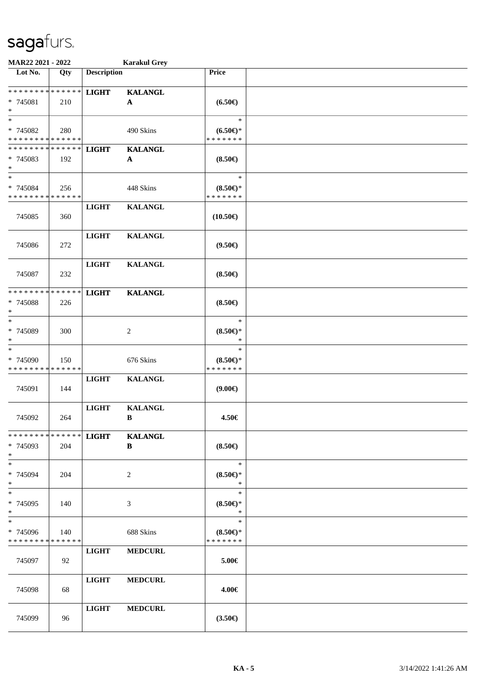| MAR22 2021 - 2022                                                   |     |                    | <b>Karakul Grey</b>            |                                               |  |
|---------------------------------------------------------------------|-----|--------------------|--------------------------------|-----------------------------------------------|--|
| Lot No.                                                             | Qty | <b>Description</b> |                                | Price                                         |  |
| * * * * * * * * * * * * * *<br>* 745081<br>$\ast$                   | 210 | <b>LIGHT</b>       | <b>KALANGL</b><br>$\mathbf A$  | $(6.50\epsilon)$                              |  |
| $\ast$<br>* 745082<br>* * * * * * * * * * * * * *                   | 280 |                    | 490 Skins                      | $\ast$<br>$(6.50\epsilon)$ *<br>* * * * * * * |  |
| * * * * * * * * * * * * * *<br>* 745083<br>$\ast$                   | 192 | <b>LIGHT</b>       | <b>KALANGL</b><br>$\mathbf A$  | $(8.50\epsilon)$                              |  |
| $\ast$<br>* 745084<br>* * * * * * * * * * * * * *                   | 256 |                    | 448 Skins                      | $\ast$<br>$(8.50 \in )^*$<br>* * * * * * *    |  |
| 745085                                                              | 360 | <b>LIGHT</b>       | <b>KALANGL</b>                 | $(10.50\epsilon)$                             |  |
| 745086                                                              | 272 | <b>LIGHT</b>       | <b>KALANGL</b>                 | $(9.50\epsilon)$                              |  |
| 745087                                                              | 232 | <b>LIGHT</b>       | <b>KALANGL</b>                 | $(8.50\epsilon)$                              |  |
| * * * * * * * * * * * * * *<br>* 745088<br>$\ast$                   | 226 | <b>LIGHT</b>       | <b>KALANGL</b>                 | $(8.50 \in )$                                 |  |
| $\ast$<br>* 745089<br>$\ast$                                        | 300 |                    | $\overline{2}$                 | $\ast$<br>$(8.50 \in )^*$<br>$\ast$           |  |
| $\ast$<br>* 745090<br>* * * * * * * * * * * * * *                   | 150 |                    | 676 Skins                      | $\ast$<br>$(8.50 \in )^*$<br>* * * * * * *    |  |
| 745091                                                              | 144 | <b>LIGHT</b>       | <b>KALANGL</b>                 | (9.00)                                        |  |
| 745092                                                              | 264 | <b>LIGHT</b>       | <b>KALANGL</b><br>$\, {\bf B}$ | 4.50€                                         |  |
| * * * * * * * * * * * * * * *<br>* 745093<br>$\ast$                 | 204 | <b>LIGHT</b>       | <b>KALANGL</b><br>B            | $(8.50\epsilon)$                              |  |
| $\ast$<br>* 745094<br>$\ast$                                        | 204 |                    | 2                              | $\ast$<br>$(8.50 \in )^*$<br>$\ast$           |  |
| $\ast$<br>* 745095<br>$\ast$                                        | 140 |                    | 3                              | $\ast$<br>$(8.50 \in )^*$<br>$\ast$           |  |
| $\overline{\phantom{1}}$<br>* 745096<br>* * * * * * * * * * * * * * | 140 |                    | 688 Skins                      | $\ast$<br>$(8.50 \in )^*$<br>* * * * * * *    |  |
| 745097                                                              | 92  | <b>LIGHT</b>       | <b>MEDCURL</b>                 | 5.00€                                         |  |
| 745098                                                              | 68  | <b>LIGHT</b>       | <b>MEDCURL</b>                 | 4.00€                                         |  |
| 745099                                                              | 96  | <b>LIGHT</b>       | <b>MEDCURL</b>                 | $(3.50\epsilon)$                              |  |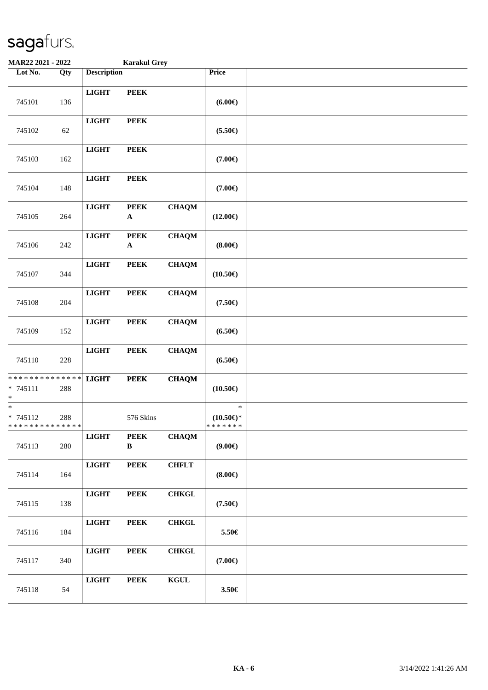| MAR22 2021 - 2022                                                             |     |                    | <b>Karakul Grey</b>        |              |                                                  |  |
|-------------------------------------------------------------------------------|-----|--------------------|----------------------------|--------------|--------------------------------------------------|--|
| Lot No.                                                                       | Qty | <b>Description</b> |                            |              | Price                                            |  |
| 745101                                                                        | 136 | <b>LIGHT</b>       | <b>PEEK</b>                |              | $(6.00\epsilon)$                                 |  |
| 745102                                                                        | 62  | <b>LIGHT</b>       | <b>PEEK</b>                |              | $(5.50\epsilon)$                                 |  |
| 745103                                                                        | 162 | <b>LIGHT</b>       | <b>PEEK</b>                |              | $(7.00\epsilon)$                                 |  |
| 745104                                                                        | 148 | <b>LIGHT</b>       | <b>PEEK</b>                |              | $(7.00\epsilon)$                                 |  |
| 745105                                                                        | 264 | <b>LIGHT</b>       | <b>PEEK</b><br>$\mathbf A$ | <b>CHAQM</b> | $(12.00\epsilon)$                                |  |
| 745106                                                                        | 242 | <b>LIGHT</b>       | <b>PEEK</b><br>$\mathbf A$ | <b>CHAQM</b> | $(8.00\epsilon)$                                 |  |
| 745107                                                                        | 344 | <b>LIGHT</b>       | <b>PEEK</b>                | <b>CHAQM</b> | $(10.50\epsilon)$                                |  |
| 745108                                                                        | 204 | <b>LIGHT</b>       | <b>PEEK</b>                | <b>CHAQM</b> | $(7.50\epsilon)$                                 |  |
| 745109                                                                        | 152 | <b>LIGHT</b>       | <b>PEEK</b>                | <b>CHAQM</b> | $(6.50\epsilon)$                                 |  |
| 745110                                                                        | 228 | <b>LIGHT</b>       | <b>PEEK</b>                | <b>CHAQM</b> | $(6.50\epsilon)$                                 |  |
| * * * * * * * * <mark>* * * * * * *</mark><br>$* 745111$<br>$\ast$            | 288 | <b>LIGHT</b>       | <b>PEEK</b>                | <b>CHAQM</b> | $(10.50\epsilon)$                                |  |
| $\overline{\ast}$<br>$* 745112$<br>* * * * * * * * <mark>* * * * * * *</mark> | 288 |                    | 576 Skins                  |              | $\ast$<br>$(10.50\mathsf{E})^*$<br>* * * * * * * |  |
| 745113                                                                        | 280 | <b>LIGHT</b>       | <b>PEEK</b><br>B           | <b>CHAQM</b> | (9.00)                                           |  |
| 745114                                                                        | 164 | LIGHT              | <b>PEEK</b>                | <b>CHFLT</b> | $(8.00\epsilon)$                                 |  |
| 745115                                                                        | 138 | $_{\rm LIGHT}$     | <b>PEEK</b>                | <b>CHKGL</b> | $(7.50\epsilon)$                                 |  |
| 745116                                                                        | 184 | <b>LIGHT</b>       | <b>PEEK</b>                | <b>CHKGL</b> | 5.50€                                            |  |
| 745117                                                                        | 340 | <b>LIGHT</b>       | <b>PEEK</b>                | <b>CHKGL</b> | $(7.00\epsilon)$                                 |  |
| 745118                                                                        | 54  | <b>LIGHT</b>       | <b>PEEK</b>                | <b>KGUL</b>  | $3.50\in$                                        |  |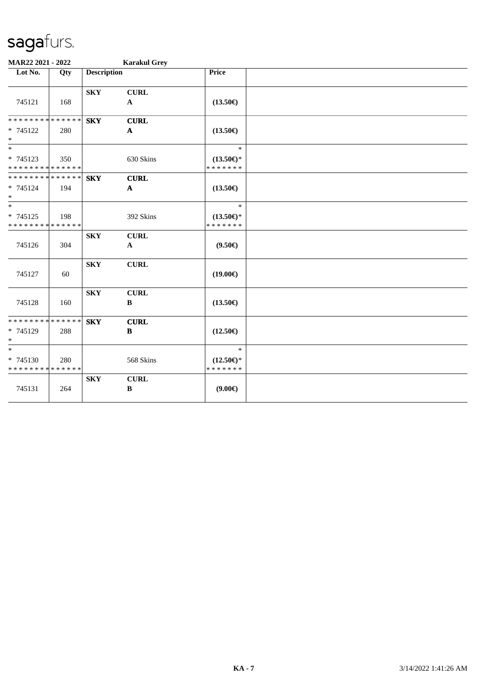| MAR22 2021 - 2022                                                     |     |                         | <b>Karakul Grey</b>         |                                                |  |
|-----------------------------------------------------------------------|-----|-------------------------|-----------------------------|------------------------------------------------|--|
| Lot No.                                                               | Qty | <b>Description</b>      |                             | Price                                          |  |
| 745121                                                                | 168 | <b>SKY</b>              | <b>CURL</b><br>$\mathbf A$  | $(13.50\epsilon)$                              |  |
| ******** <mark>******</mark><br>* 745122<br>$\ast$                    | 280 | <b>SKY</b>              | <b>CURL</b><br>$\mathbf{A}$ | $(13.50\epsilon)$                              |  |
| $\ast$<br>$* 745123$<br>* * * * * * * * * * * * * *                   | 350 |                         | 630 Skins                   | $\ast$<br>$(13.50\epsilon)$ *<br>* * * * * * * |  |
| * * * * * * * * * * * * * *<br>$* 745124$<br>$\ast$                   | 194 | <b>SKY</b>              | <b>CURL</b><br>$\mathbf{A}$ | $(13.50\epsilon)$                              |  |
| $\overline{\phantom{a}^*}$<br>* 745125<br>* * * * * * * * * * * * * * | 198 |                         | 392 Skins                   | $\ast$<br>$(13.50\epsilon)$ *<br>* * * * * * * |  |
| 745126                                                                | 304 | <b>SKY</b>              | <b>CURL</b><br>$\mathbf{A}$ | $(9.50\epsilon)$                               |  |
| 745127                                                                | 60  | ${\bf S}{\bf K}{\bf Y}$ | <b>CURL</b>                 | $(19.00\epsilon)$                              |  |
| 745128                                                                | 160 | <b>SKY</b>              | <b>CURL</b><br>$\, {\bf B}$ | $(13.50\epsilon)$                              |  |
| **************<br>* 745129<br>$\ast$                                  | 288 | <b>SKY</b>              | <b>CURL</b><br>$\bf{B}$     | $(12.50\epsilon)$                              |  |
| $\ast$<br>* 745130<br>* * * * * * * * * * * * * *                     | 280 |                         | 568 Skins                   | $\ast$<br>$(12.50\epsilon)$ *<br>* * * * * * * |  |
| 745131                                                                | 264 | <b>SKY</b>              | <b>CURL</b><br>$\, {\bf B}$ | $(9.00\epsilon)$                               |  |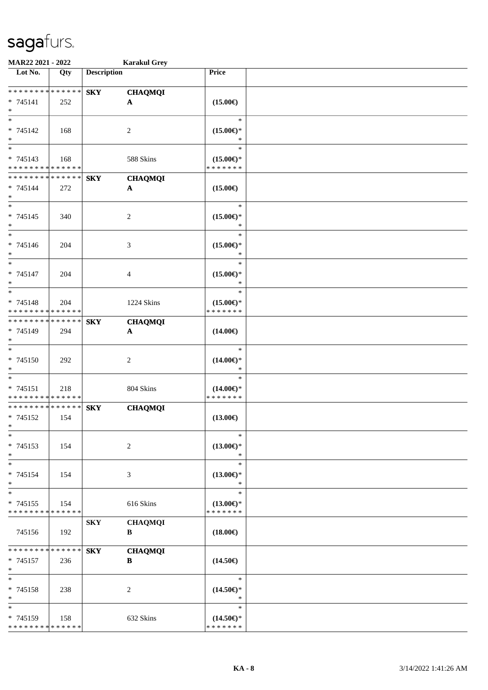| MAR22 2021 - 2022                       |     |                    | <b>Karakul Grey</b>   |                                      |  |
|-----------------------------------------|-----|--------------------|-----------------------|--------------------------------------|--|
| Lot No.                                 | Qty | <b>Description</b> |                       | Price                                |  |
|                                         |     |                    |                       |                                      |  |
| ******** <mark>******</mark>            |     | <b>SKY</b>         | <b>CHAQMQI</b>        |                                      |  |
| $* 745141$                              | 252 |                    | $\mathbf{A}$          | $(15.00\in)$                         |  |
| $\ast$<br>$*$                           |     |                    |                       | $\ast$                               |  |
|                                         |     |                    |                       |                                      |  |
| * 745142<br>$\ast$                      | 168 |                    | 2                     | $(15.00\epsilon)$ *<br>*             |  |
| $\overline{\phantom{0}}$                |     |                    |                       | $\ast$                               |  |
| * 745143                                | 168 |                    | 588 Skins             | $(15.00\epsilon)$ *                  |  |
| * * * * * * * * * * * * * *             |     |                    |                       | * * * * * * *                        |  |
| * * * * * * * * * * * * * *             |     | <b>SKY</b>         | <b>CHAQMQI</b>        |                                      |  |
| * 745144                                | 272 |                    | $\boldsymbol{\rm{A}}$ | $(15.00\epsilon)$                    |  |
| $\ast$                                  |     |                    |                       |                                      |  |
| $*$                                     |     |                    |                       | $\ast$                               |  |
| $* 745145$                              | 340 |                    | $\sqrt{2}$            | $(15.00\epsilon)$ *                  |  |
| $\ast$                                  |     |                    |                       | $\ast$                               |  |
| $\ast$                                  |     |                    |                       | $\ast$                               |  |
| * 745146                                | 204 |                    | 3                     | $(15.00\epsilon)$ *                  |  |
| $\ast$                                  |     |                    |                       | $\ast$                               |  |
| $\ast$                                  |     |                    |                       | $\ast$                               |  |
| * 745147                                | 204 |                    | $\overline{4}$        | $(15.00\epsilon)$ *                  |  |
| $\ast$                                  |     |                    |                       | $\ast$                               |  |
| $\ast$                                  |     |                    |                       | $\ast$                               |  |
| * 745148<br>* * * * * * * * * * * * * * | 204 |                    | 1224 Skins            | $(15.00\epsilon)$ *<br>* * * * * * * |  |
| * * * * * * * * * * * * * *             |     |                    |                       |                                      |  |
| * 745149                                | 294 | <b>SKY</b>         | <b>CHAQMQI</b>        | $(14.00\epsilon)$                    |  |
| $\ast$                                  |     |                    | A                     |                                      |  |
| $\overline{\ast}$                       |     |                    |                       | $\ast$                               |  |
| $* 745150$                              | 292 |                    | $\boldsymbol{2}$      | $(14.00\epsilon)$ *                  |  |
| $\ast$                                  |     |                    |                       | $\ast$                               |  |
| $\ast$                                  |     |                    |                       | $\ast$                               |  |
| * 745151                                | 218 |                    | 804 Skins             | $(14.00\epsilon)$ *                  |  |
| * * * * * * * * * * * * * *             |     |                    |                       | * * * * * * *                        |  |
| ******** <mark>******</mark>            |     | <b>SKY</b>         | <b>CHAQMQI</b>        |                                      |  |
| * 745152                                | 154 |                    |                       | $(13.00\epsilon)$                    |  |
| $*$                                     |     |                    |                       |                                      |  |
| $\ast$                                  |     |                    |                       | $\ast$                               |  |
| * 745153                                | 154 |                    | $\overline{c}$        | $(13.00\epsilon)$ *                  |  |
| $\ast$                                  |     |                    |                       | $\ast$                               |  |
| $\ast$                                  |     |                    |                       | $\ast$                               |  |
| * 745154                                | 154 |                    | 3                     | $(13.00\epsilon)$ *                  |  |
| $\ast$<br>$\ast$                        |     |                    |                       | $\ast$<br>$\ast$                     |  |
| * 745155                                |     |                    |                       |                                      |  |
| * * * * * * * * * * * * * *             | 154 |                    | 616 Skins             | $(13.00\epsilon)$ *<br>* * * * * * * |  |
|                                         |     | <b>SKY</b>         | <b>CHAQMQI</b>        |                                      |  |
| 745156                                  | 192 |                    | B                     | $(18.00\epsilon)$                    |  |
|                                         |     |                    |                       |                                      |  |
| * * * * * * * * * * * * * *             |     | <b>SKY</b>         | <b>CHAQMQI</b>        |                                      |  |
| * 745157                                | 236 |                    | B                     | $(14.50\epsilon)$                    |  |
| $*$                                     |     |                    |                       |                                      |  |
| $\ast$                                  |     |                    |                       | $\ast$                               |  |
| * 745158                                | 238 |                    | 2                     | $(14.50\epsilon)$ *                  |  |
| $\ast$                                  |     |                    |                       | $\ast$                               |  |
| $\ast$                                  |     |                    |                       | $\ast$                               |  |
| * 745159                                | 158 |                    | 632 Skins             | $(14.50\epsilon)$ *                  |  |
| * * * * * * * * * * * * * *             |     |                    |                       | * * * * * * *                        |  |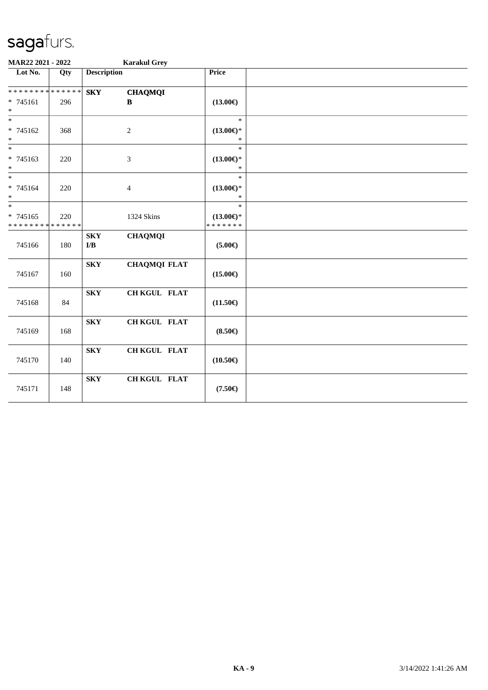| MAR22 2021 - 2022                         |     |                                       | <b>Karakul Grey</b> |                                      |  |  |  |
|-------------------------------------------|-----|---------------------------------------|---------------------|--------------------------------------|--|--|--|
| Lot No.                                   | Qty | <b>Description</b>                    |                     | Price                                |  |  |  |
| * * * * * * * * * * * * * *               |     | <b>SKY</b>                            | <b>CHAQMQI</b>      |                                      |  |  |  |
| $* 745161$<br>$\ast$                      | 296 |                                       | $\bf{B}$            | $(13.00\epsilon)$                    |  |  |  |
| $\ast$                                    |     |                                       |                     | $\ast$                               |  |  |  |
| * 745162<br>$\ast$                        | 368 |                                       | $\overline{c}$      | $(13.00\epsilon)$ *<br>$\ast$        |  |  |  |
| $\ast$<br>* 745163                        | 220 |                                       | $\mathfrak{Z}$      | $\ast$<br>$(13.00\epsilon)$ *        |  |  |  |
| $\ast$                                    |     |                                       |                     | $\ast$                               |  |  |  |
| $*$                                       |     |                                       |                     | $\ast$                               |  |  |  |
| * 745164<br>$\ast$                        | 220 |                                       | $\overline{4}$      | $(13.00\epsilon)$ *<br>$\ast$        |  |  |  |
| $\overline{\ast}$                         |     |                                       |                     | $\ast$                               |  |  |  |
| $* 745165$<br>* * * * * * * * * * * * * * | 220 |                                       | 1324 Skins          | $(13.00\epsilon)$ *<br>* * * * * * * |  |  |  |
| 745166                                    | 180 | <b>SKY</b><br>$\mathbf{I}/\mathbf{B}$ | <b>CHAQMQI</b>      | $(5.00\epsilon)$                     |  |  |  |
| 745167                                    | 160 | <b>SKY</b>                            | <b>CHAQMQI FLAT</b> | $(15.00\epsilon)$                    |  |  |  |
| 745168                                    | 84  | <b>SKY</b>                            | CH KGUL FLAT        | $(11.50\epsilon)$                    |  |  |  |
| 745169                                    | 168 | ${\bf S}{\bf K}{\bf Y}$               | CH KGUL FLAT        | $(8.50\epsilon)$                     |  |  |  |
| 745170                                    | 140 | ${\bf S}{\bf K}{\bf Y}$               | CH KGUL FLAT        | $(10.50\epsilon)$                    |  |  |  |
| 745171                                    | 148 | <b>SKY</b>                            | CH KGUL FLAT        | $(7.50\epsilon)$                     |  |  |  |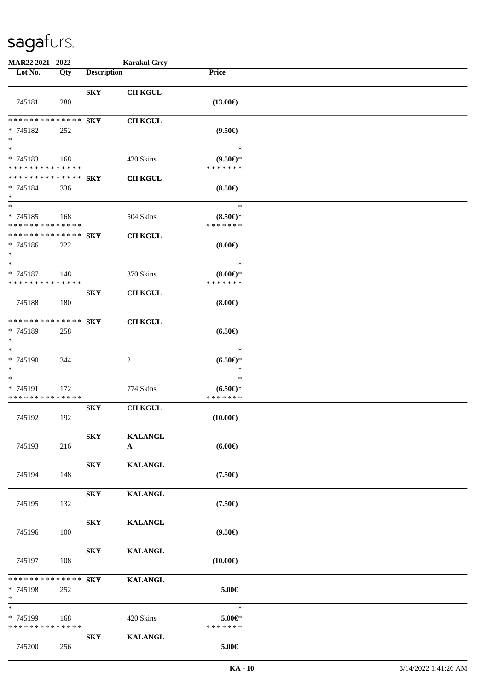| MAR22 2021 - 2022                                                   |     |                    | <b>Karakul Grey</b>            |                                            |  |
|---------------------------------------------------------------------|-----|--------------------|--------------------------------|--------------------------------------------|--|
| Lot No.                                                             | Qty | <b>Description</b> |                                | Price                                      |  |
| 745181                                                              | 280 | <b>SKY</b>         | <b>CH KGUL</b>                 | $(13.00\epsilon)$                          |  |
| * * * * * * * * * * * * * *<br>$* 745182$<br>$\ast$                 | 252 | <b>SKY</b>         | <b>CH KGUL</b>                 | $(9.50\epsilon)$                           |  |
| $\overline{\phantom{0}}$<br>* 745183<br>* * * * * * * * * * * * * * | 168 |                    | 420 Skins                      | $\ast$<br>$(9.50 \in )^*$<br>* * * * * * * |  |
| * * * * * * * * * * * * * *<br>* 745184<br>$\ast$                   | 336 | <b>SKY</b>         | <b>CH KGUL</b>                 | $(8.50\epsilon)$                           |  |
| $\ast$<br>$* 745185$<br>* * * * * * * * * * * * * *                 | 168 |                    | 504 Skins                      | $\ast$<br>$(8.50 \in )^*$<br>* * * * * * * |  |
| * * * * * * * * * * * * * *<br>$* 745186$<br>$\ast$                 | 222 | <b>SKY</b>         | <b>CH KGUL</b>                 | $(8.00\epsilon)$                           |  |
| $\ast$<br>* 745187<br>* * * * * * * * * * * * * *                   | 148 |                    | 370 Skins                      | $\ast$<br>(8.00)<br>* * * * * * *          |  |
| 745188                                                              | 180 | <b>SKY</b>         | <b>CH KGUL</b>                 | $(8.00\epsilon)$                           |  |
| * * * * * * * * * * * * * *<br>* 745189<br>$\ast$                   | 258 | <b>SKY</b>         | <b>CH KGUL</b>                 | $(6.50\epsilon)$                           |  |
| $\ast$<br>* 745190<br>$\ast$                                        | 344 |                    | $\overline{2}$                 | $\ast$<br>$(6.50*)$<br>$\ast$              |  |
| $\ast$<br>* 745191<br>* * * * * * * * * * * * * *                   | 172 |                    | 774 Skins                      | $\ast$<br>$(6.50*)$<br>* * * * * * *       |  |
| 745192                                                              | 192 | <b>SKY</b>         | <b>CH KGUL</b>                 | $(10.00\epsilon)$                          |  |
| 745193                                                              | 216 | <b>SKY</b>         | <b>KALANGL</b><br>$\mathbf{A}$ | $(6.00\epsilon)$                           |  |
| 745194                                                              | 148 | <b>SKY</b>         | <b>KALANGL</b>                 | $(7.50\epsilon)$                           |  |
| 745195                                                              | 132 | <b>SKY</b>         | <b>KALANGL</b>                 | $(7.50\epsilon)$                           |  |
| 745196                                                              | 100 | <b>SKY</b>         | <b>KALANGL</b>                 | $(9.50\epsilon)$                           |  |
| 745197                                                              | 108 | <b>SKY</b>         | <b>KALANGL</b>                 | $(10.00\epsilon)$                          |  |
| * * * * * * * * * * * * * *<br>* 745198<br>$*$                      | 252 | <b>SKY</b>         | <b>KALANGL</b>                 | 5.00€                                      |  |
| $\ast$<br>* 745199<br>* * * * * * * * * * * * * *                   | 168 |                    | 420 Skins                      | $\ast$<br>$5.00 \in$<br>* * * * * * *      |  |
| 745200                                                              | 256 | <b>SKY</b>         | <b>KALANGL</b>                 | 5.00€                                      |  |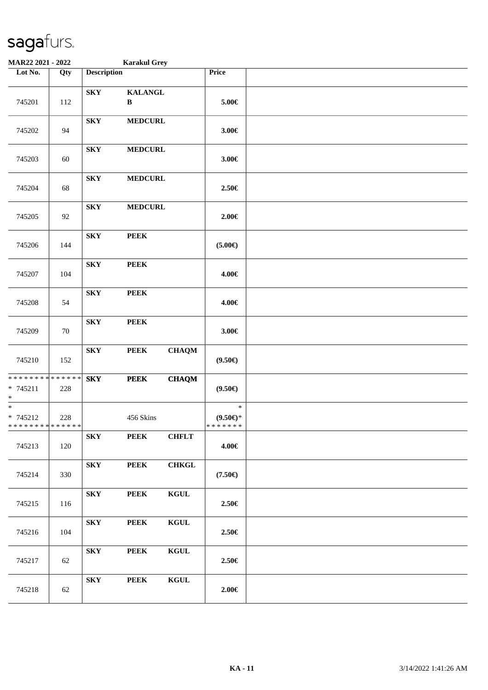| MAR22 2021 - 2022                                  |                   |                         | <b>Karakul Grey</b>            |              |                                      |  |
|----------------------------------------------------|-------------------|-------------------------|--------------------------------|--------------|--------------------------------------|--|
| Lot No.                                            | $\overline{Q}$ ty | <b>Description</b>      |                                |              | Price                                |  |
| 745201                                             | 112               | <b>SKY</b>              | <b>KALANGL</b><br>$\, {\bf B}$ |              | $5.00 \in$                           |  |
| 745202                                             | 94                | <b>SKY</b>              | <b>MEDCURL</b>                 |              | 3.00€                                |  |
| 745203                                             | 60                | <b>SKY</b>              | <b>MEDCURL</b>                 |              | $3.00 \in$                           |  |
| 745204                                             | 68                | ${\bf S}{\bf K}{\bf Y}$ | <b>MEDCURL</b>                 |              | 2.50€                                |  |
| 745205                                             | 92                | ${\bf S}{\bf K}{\bf Y}$ | <b>MEDCURL</b>                 |              | 2.00€                                |  |
| 745206                                             | 144               | <b>SKY</b>              | <b>PEEK</b>                    |              | $(5.00\epsilon)$                     |  |
| 745207                                             | 104               | ${\bf S}{\bf K}{\bf Y}$ | <b>PEEK</b>                    |              | 4.00€                                |  |
| 745208                                             | 54                | ${\bf S}{\bf K}{\bf Y}$ | <b>PEEK</b>                    |              | 4.00€                                |  |
| 745209                                             | $70\,$            | <b>SKY</b>              | <b>PEEK</b>                    |              | $3.00 \in$                           |  |
| 745210                                             | 152               | ${\bf S}{\bf K}{\bf Y}$ | <b>PEEK</b>                    | <b>CHAQM</b> | $(9.50\epsilon)$                     |  |
| ******** <mark>******</mark><br>$* 745211$<br>$*$  | 228               | ${\bf S}{\bf K}{\bf Y}$ | <b>PEEK</b>                    | <b>CHAQM</b> | $(9.50\epsilon)$                     |  |
| $*$<br>$* 745212$<br>* * * * * * * * * * * * * * * | 228               |                         | 456 Skins                      |              | $\ast$<br>$(9.50 \in )^*$<br>******* |  |
| 745213                                             | 120               | <b>SKY</b>              | <b>PEEK</b>                    | <b>CHFLT</b> | 4.00€                                |  |
| 745214                                             | 330               | <b>SKY</b>              | <b>PEEK</b>                    | CHKGL        | $(7.50\epsilon)$                     |  |
| 745215                                             | 116               | <b>SKY</b>              | <b>PEEK</b>                    | <b>KGUL</b>  | 2.50€                                |  |
| 745216                                             | 104               | <b>SKY</b>              | <b>PEEK</b>                    | <b>KGUL</b>  | 2.50€                                |  |
| 745217                                             | 62                | <b>SKY</b>              | <b>PEEK</b>                    | <b>KGUL</b>  | 2.50€                                |  |
| 745218                                             | 62                | <b>SKY</b>              | <b>PEEK</b>                    | <b>KGUL</b>  | $2.00 \in$                           |  |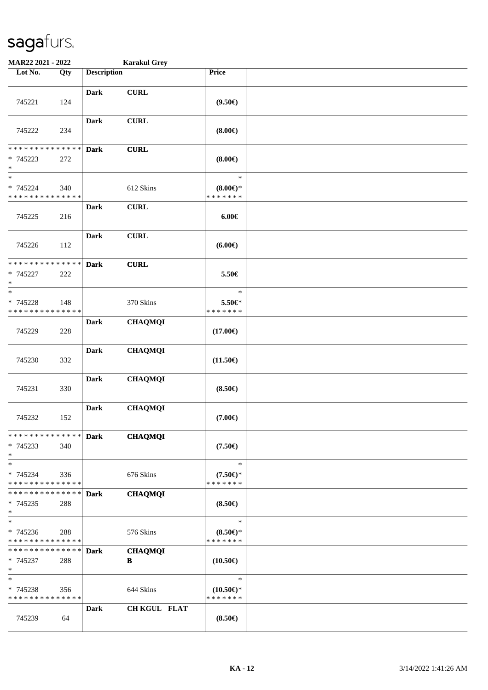| MAR22 2021 - 2022                                                  |     |                    | <b>Karakul Grey</b> |                                               |  |
|--------------------------------------------------------------------|-----|--------------------|---------------------|-----------------------------------------------|--|
| Lot No.                                                            | Qty | <b>Description</b> |                     | Price                                         |  |
| 745221                                                             | 124 | <b>Dark</b>        | <b>CURL</b>         | $(9.50\epsilon)$                              |  |
| 745222                                                             | 234 | <b>Dark</b>        | <b>CURL</b>         | $(8.00\epsilon)$                              |  |
| * * * * * * * * * * * * * *<br>* 745223<br>$\ast$                  | 272 | <b>Dark</b>        | <b>CURL</b>         | (8.00)                                        |  |
| $\ast$<br>* 745224<br>* * * * * * * * * * * * * *                  | 340 |                    | 612 Skins           | $\ast$<br>$(8.00\epsilon)$ *<br>* * * * * * * |  |
| 745225                                                             | 216 | <b>Dark</b>        | <b>CURL</b>         | $6.00 \in$                                    |  |
| 745226                                                             | 112 | <b>Dark</b>        | <b>CURL</b>         | (6.00)                                        |  |
| * * * * * * * * * * * * * *<br>* 745227<br>$\ast$                  | 222 | <b>Dark</b>        | <b>CURL</b>         | 5.50€                                         |  |
| $\ast$<br>* 745228<br>* * * * * * * * * * * * * *                  | 148 |                    | 370 Skins           | $\ast$<br>5.50€*<br>* * * * * * *             |  |
| 745229                                                             | 228 | Dark               | <b>CHAQMQI</b>      | $(17.00\epsilon)$                             |  |
| 745230                                                             | 332 | <b>Dark</b>        | <b>CHAQMQI</b>      | $(11.50\epsilon)$                             |  |
| 745231                                                             | 330 | <b>Dark</b>        | <b>CHAQMQI</b>      | $(8.50\epsilon)$                              |  |
| 745232                                                             | 152 | <b>Dark</b>        | <b>CHAQMQI</b>      | $(7.00\epsilon)$                              |  |
| * * * * * * * * * * * * * * *<br>$* 745233$<br>$\ast$              | 340 | <b>Dark</b>        | <b>CHAQMQI</b>      | $(7.50\epsilon)$                              |  |
| $\ast$<br>* 745234<br>* * * * * * * * * * * * * *                  | 336 |                    | 676 Skins           | $\ast$<br>$(7.50 \in )^*$<br>* * * * * * *    |  |
| * * * * * * * * * * * * * *<br>$* 745235$<br>$\ast$                | 288 | <b>Dark</b>        | <b>CHAQMQI</b>      | $(8.50\epsilon)$                              |  |
| $\ast$<br>$* 745236$<br>* * * * * * * * * * * * * *                | 288 |                    | 576 Skins           | $\ast$<br>$(8.50 \in )^*$<br>* * * * * * *    |  |
| * * * * * * * * <mark>* * * * * * *</mark><br>$* 745237$<br>$\ast$ | 288 | <b>Dark</b>        | <b>CHAQMQI</b><br>B | $(10.50\epsilon)$                             |  |
| $\ast$<br>* 745238<br>* * * * * * * * * * * * * *                  | 356 |                    | 644 Skins           | $\ast$<br>$(10.50 \in )^*$<br>* * * * * * *   |  |
| 745239                                                             | 64  | Dark               | CH KGUL FLAT        | $(8.50\epsilon)$                              |  |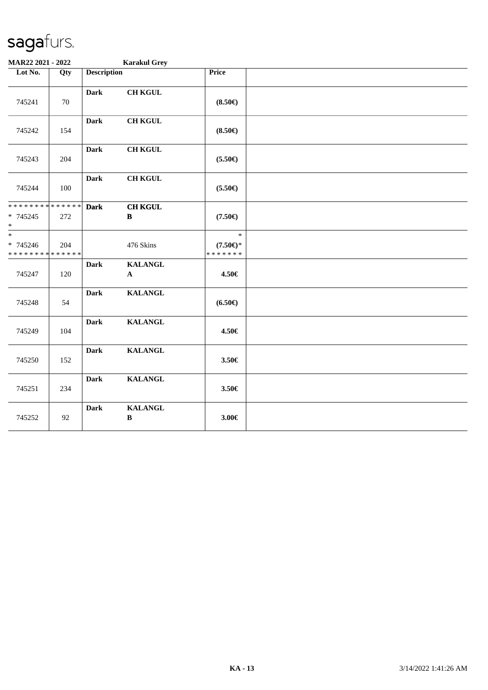| MAR22 2021 - 2022                                 |     |                    | <b>Karakul Grey</b>            |                                               |  |
|---------------------------------------------------|-----|--------------------|--------------------------------|-----------------------------------------------|--|
| Lot No.                                           | Qty | <b>Description</b> |                                | Price                                         |  |
| 745241                                            | 70  | <b>Dark</b>        | <b>CH KGUL</b>                 | $(8.50\epsilon)$                              |  |
| 745242                                            | 154 | <b>Dark</b>        | <b>CH KGUL</b>                 | $(8.50\epsilon)$                              |  |
| 745243                                            | 204 | <b>Dark</b>        | <b>CH KGUL</b>                 | $(5.50\epsilon)$                              |  |
| 745244                                            | 100 | <b>Dark</b>        | <b>CH KGUL</b>                 | $(5.50\epsilon)$                              |  |
| * * * * * * * * * * * * * *<br>* 745245<br>$\ast$ | 272 | <b>Dark</b>        | <b>CH KGUL</b><br>$\, {\bf B}$ | $(7.50\epsilon)$                              |  |
| $\ast$<br>* 745246<br>* * * * * * * * * * * * * * | 204 |                    | 476 Skins                      | $\ast$<br>$(7.50\epsilon)$ *<br>* * * * * * * |  |
| 745247                                            | 120 | <b>Dark</b>        | <b>KALANGL</b><br>${\bf A}$    | 4.50€                                         |  |
| 745248                                            | 54  | <b>Dark</b>        | <b>KALANGL</b>                 | $(6.50\epsilon)$                              |  |
| 745249                                            | 104 | <b>Dark</b>        | <b>KALANGL</b>                 | 4.50€                                         |  |
| 745250                                            | 152 | <b>Dark</b>        | <b>KALANGL</b>                 | 3.50€                                         |  |
| 745251                                            | 234 | <b>Dark</b>        | <b>KALANGL</b>                 | 3.50€                                         |  |
| 745252                                            | 92  | <b>Dark</b>        | <b>KALANGL</b><br>$\, {\bf B}$ | 3.00€                                         |  |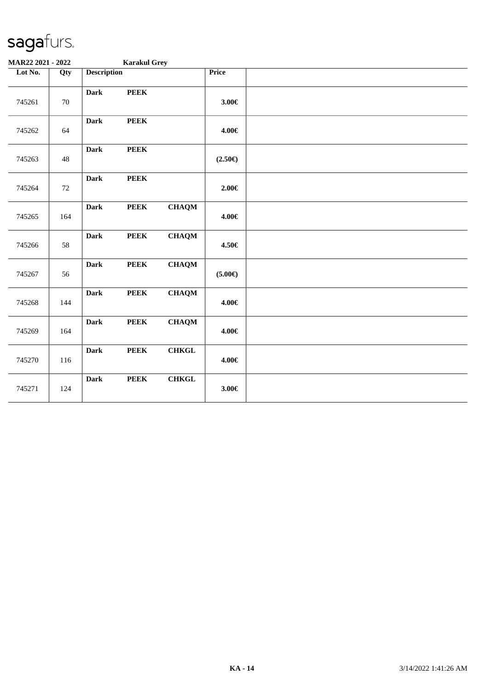| MAR22 2021 - 2022 |        |                    | <b>Karakul Grey</b> |               |                  |  |
|-------------------|--------|--------------------|---------------------|---------------|------------------|--|
| Lot No.           | Qty    | <b>Description</b> |                     |               | Price            |  |
| 745261            | $70\,$ | <b>Dark</b>        | <b>PEEK</b>         |               | $3.00 \in$       |  |
| 745262            | 64     | <b>Dark</b>        | <b>PEEK</b>         |               | 4.00€            |  |
| 745263            | $48\,$ | <b>Dark</b>        | <b>PEEK</b>         |               | $(2.50\epsilon)$ |  |
| 745264            | 72     | <b>Dark</b>        | <b>PEEK</b>         |               | $2.00 \in$       |  |
| 745265            | 164    | <b>Dark</b>        | <b>PEEK</b>         | <b>CHAQM</b>  | 4.00€            |  |
| 745266            | 58     | <b>Dark</b>        | <b>PEEK</b>         | <b>CHAQM</b>  | 4.50€            |  |
| 745267            | 56     | <b>Dark</b>        | ${\bf PEEK}$        | <b>CHAQM</b>  | $(5.00\epsilon)$ |  |
| 745268            | 144    | <b>Dark</b>        | <b>PEEK</b>         | <b>CHAQM</b>  | 4.00€            |  |
| 745269            | 164    | <b>Dark</b>        | <b>PEEK</b>         | ${\bf CHAQM}$ | 4.00€            |  |
| 745270            | 116    | <b>Dark</b>        | <b>PEEK</b>         | <b>CHKGL</b>  | 4.00€            |  |
| 745271            | 124    | <b>Dark</b>        | <b>PEEK</b>         | <b>CHKGL</b>  | $3.00 \in$       |  |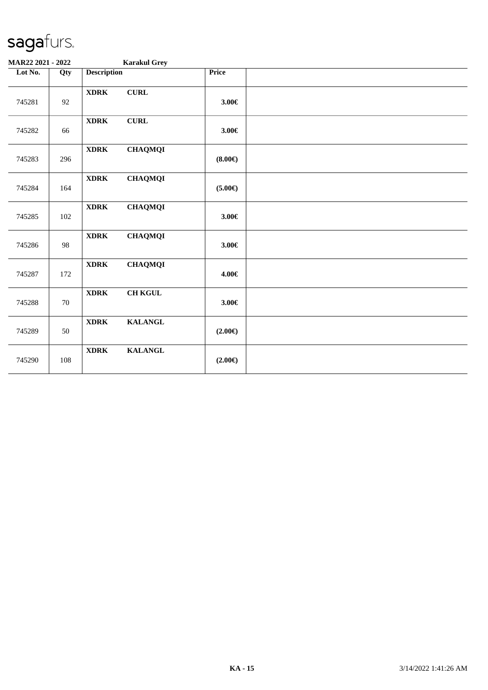| MAR22 2021 - 2022 |        |                    | <b>Karakul Grey</b> |                  |  |
|-------------------|--------|--------------------|---------------------|------------------|--|
| Lot No.           | Qty    | <b>Description</b> |                     | Price            |  |
| 745281            | 92     | <b>XDRK</b>        | ${\bf CURL}$        | $3.00 \in$       |  |
| 745282            | 66     | $\bold{XDRK}$      | ${\bf CURL}$        | $3.00 \in$       |  |
| 745283            | 296    | <b>XDRK</b>        | <b>CHAQMQI</b>      | (8.00)           |  |
| 745284            | 164    | <b>XDRK</b>        | <b>CHAQMQI</b>      | $(5.00\epsilon)$ |  |
| 745285            | 102    | <b>XDRK</b>        | <b>CHAQMQI</b>      | $3.00 \in$       |  |
| 745286            | 98     | <b>XDRK</b>        | <b>CHAQMQI</b>      | $3.00 \in$       |  |
| 745287            | 172    | <b>XDRK</b>        | <b>CHAQMQI</b>      | 4.00€            |  |
| 745288            | $70\,$ | <b>XDRK</b>        | <b>CH KGUL</b>      | $3.00 \in$       |  |
| 745289            | 50     | <b>XDRK</b>        | <b>KALANGL</b>      | $(2.00\epsilon)$ |  |
| 745290            | 108    | <b>XDRK</b>        | <b>KALANGL</b>      | $(2.00\epsilon)$ |  |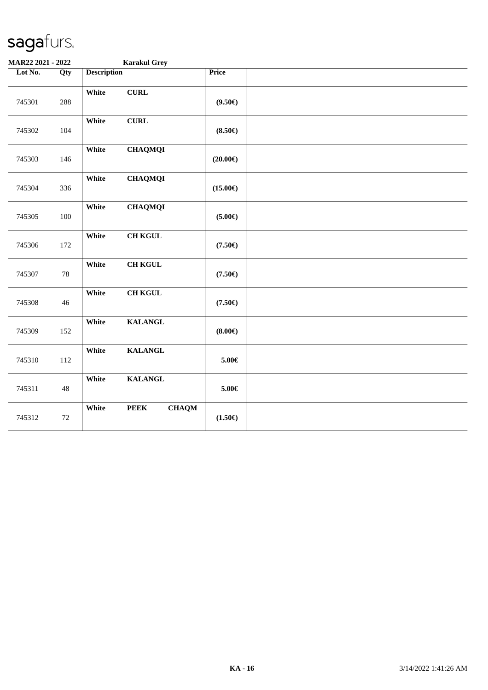| MAR22 2021 - 2022 |        | <b>Karakul Grey</b>                  |                   |  |
|-------------------|--------|--------------------------------------|-------------------|--|
| Lot No.           | Qty    | <b>Description</b>                   | <b>Price</b>      |  |
| 745301            | 288    | White<br>${\bf CURL}$                | $(9.50\epsilon)$  |  |
| 745302            | 104    | ${\bf CURL}$<br>White                | $(8.50\epsilon)$  |  |
| 745303            | 146    | <b>CHAQMQI</b><br>White              | $(20.00\epsilon)$ |  |
| 745304            | 336    | White<br><b>CHAQMQI</b>              | $(15.00\epsilon)$ |  |
| 745305            | 100    | White<br><b>CHAQMQI</b>              | $(5.00\epsilon)$  |  |
| 745306            | 172    | <b>CH KGUL</b><br>White              | $(7.50\epsilon)$  |  |
| 745307            | 78     | White<br>$\rm CH$ KGUL               | $(7.50\epsilon)$  |  |
| 745308            | 46     | <b>CH KGUL</b><br>White              | $(7.50\epsilon)$  |  |
| 745309            | 152    | White<br><b>KALANGL</b>              | (8.00)            |  |
| 745310            | 112    | White<br><b>KALANGL</b>              | $5.00 \in$        |  |
| 745311            | $48\,$ | White<br><b>KALANGL</b>              | $5.00 \in$        |  |
| 745312            | $72\,$ | White<br><b>PEEK</b><br><b>CHAQM</b> | $(1.50\epsilon)$  |  |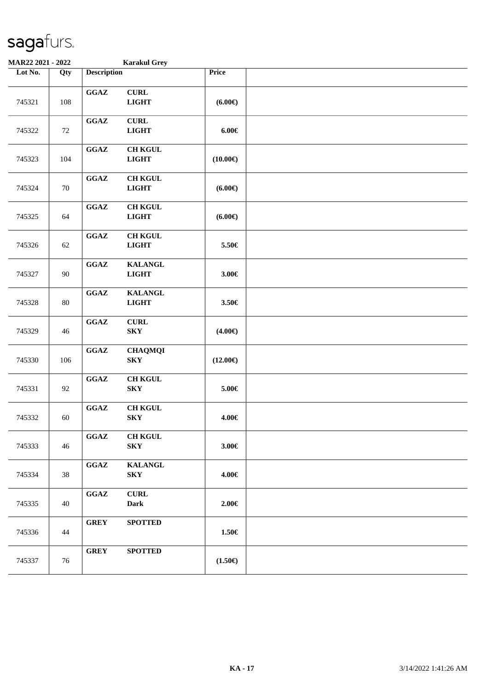| MAR22 2021 - 2022 |     |                                            | <b>Karakul Grey</b>                       |                      |  |
|-------------------|-----|--------------------------------------------|-------------------------------------------|----------------------|--|
| Lot No.           | Qty | <b>Description</b>                         |                                           | Price                |  |
| 745321            | 108 | $\mathbf{G}\mathbf{G}\mathbf{A}\mathbf{Z}$ | <b>CURL</b><br><b>LIGHT</b>               | $(6.00\epsilon)$     |  |
| 745322            | 72  | $\mathbf{G}\mathbf{G}\mathbf{A}\mathbf{Z}$ | <b>CURL</b><br><b>LIGHT</b>               | $6.00 \in$           |  |
| 745323            | 104 | $\mathbf{G}\mathbf{G}\mathbf{A}\mathbf{Z}$ | <b>CH KGUL</b><br><b>LIGHT</b>            | $(10.00\epsilon)$    |  |
| 745324            | 70  | $\mathbf{G}\mathbf{G}\mathbf{A}\mathbf{Z}$ | <b>CH KGUL</b><br><b>LIGHT</b>            | (6.00 <sup>ε</sup> ) |  |
| 745325            | 64  | $\mathbf{G}\mathbf{G}\mathbf{A}\mathbf{Z}$ | <b>CH KGUL</b><br><b>LIGHT</b>            | $(6.00\epsilon)$     |  |
| 745326            | 62  | $\mathbf{G}\mathbf{G}\mathbf{A}\mathbf{Z}$ | <b>CH KGUL</b><br><b>LIGHT</b>            | 5.50€                |  |
| 745327            | 90  | $\mathbf{G}\mathbf{G}\mathbf{A}\mathbf{Z}$ | <b>KALANGL</b><br><b>LIGHT</b>            | 3.00€                |  |
| 745328            | 80  | $\mathbf{G}\mathbf{G}\mathbf{A}\mathbf{Z}$ | <b>KALANGL</b><br><b>LIGHT</b>            | 3.50€                |  |
| 745329            | 46  | $\mathbf{G}\mathbf{G}\mathbf{A}\mathbf{Z}$ | <b>CURL</b><br>${\bf S}{\bf K}{\bf Y}$    | $(4.00\epsilon)$     |  |
| 745330            | 106 | $\mathbf{G}\mathbf{G}\mathbf{A}\mathbf{Z}$ | <b>CHAQMQI</b><br><b>SKY</b>              | $(12.00\epsilon)$    |  |
| 745331            | 92  | $\mathbf{G}\mathbf{G}\mathbf{A}\mathbf{Z}$ | <b>CH KGUL</b><br>${\bf S}{\bf K}{\bf Y}$ | $5.00\in$            |  |
| 745332            | 60  | $\mathbf{G}\mathbf{G}\mathbf{A}\mathbf{Z}$ | <b>CH KGUL</b><br>${\bf S}{\bf K}{\bf Y}$ | 4.00€                |  |
| 745333            | 46  | GGAZ                                       | <b>CH KGUL</b><br><b>SKY</b>              | 3.00€                |  |
| 745334            | 38  | $\mathbf{G}\mathbf{G}\mathbf{A}\mathbf{Z}$ | <b>KALANGL</b><br><b>SKY</b>              | 4.00€                |  |
| 745335            | 40  | GGAZ                                       | <b>CURL</b><br><b>Dark</b>                | $2.00 \in$           |  |
| 745336            | 44  | <b>GREY</b>                                | <b>SPOTTED</b>                            | 1.50€                |  |
| 745337            | 76  | <b>GREY</b>                                | <b>SPOTTED</b>                            | $(1.50\epsilon)$     |  |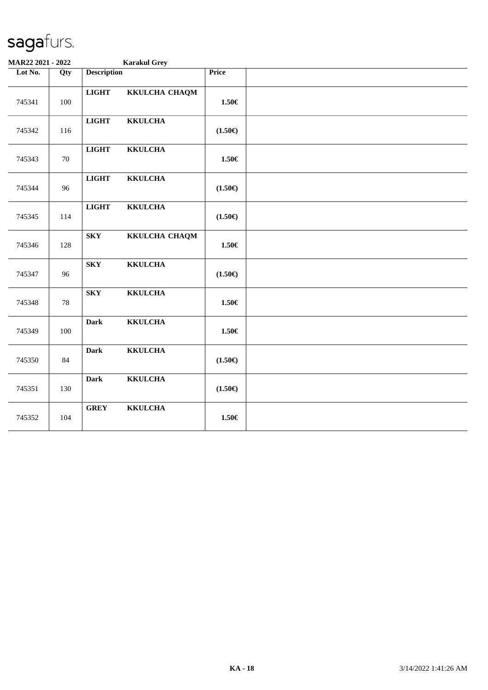| MAR22 2021 - 2022 |        | <b>Karakul Grey</b>                       |                  |  |
|-------------------|--------|-------------------------------------------|------------------|--|
| Lot No.           | Qty    | <b>Description</b>                        | Price            |  |
| 745341            | 100    | <b>LIGHT</b><br>KKULCHA CHAQM             | $1.50\in$        |  |
| 745342            | 116    | <b>LIGHT</b><br><b>KKULCHA</b>            | $(1.50\epsilon)$ |  |
| 745343            | $70\,$ | <b>LIGHT</b><br><b>KKULCHA</b>            | 1.50€            |  |
| 745344            | 96     | <b>LIGHT</b><br><b>KKULCHA</b>            | $(1.50\epsilon)$ |  |
| 745345            | 114    | <b>LIGHT</b><br><b>KKULCHA</b>            | $(1.50\epsilon)$ |  |
| 745346            | 128    | ${\bf S}{\bf K}{\bf Y}$<br>KKULCHA CHAQM  | 1.50€            |  |
| 745347            | 96     | ${\bf S}{\bf K}{\bf Y}$<br><b>KKULCHA</b> | $(1.50\epsilon)$ |  |
| 745348            | 78     | ${\bf S}{\bf K}{\bf Y}$<br><b>KKULCHA</b> | $1.50\in$        |  |
| 745349            | 100    | <b>Dark</b><br><b>KKULCHA</b>             | $1.50\in$        |  |
| 745350            | 84     | <b>KKULCHA</b><br><b>Dark</b>             | $(1.50\epsilon)$ |  |
| 745351            | 130    | <b>KKULCHA</b><br><b>Dark</b>             | $(1.50\epsilon)$ |  |
| 745352            | 104    | <b>GREY</b><br><b>KKULCHA</b>             | 1.50€            |  |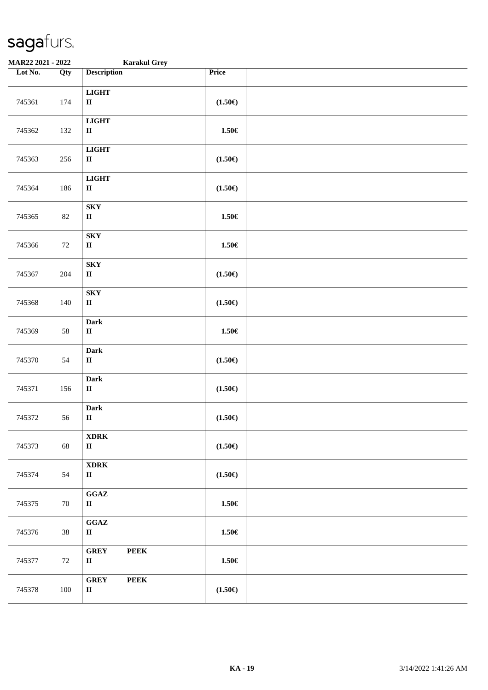| MAR22 2021 - 2022 |                  | <b>Karakul Grey</b>                                        |                    |  |
|-------------------|------------------|------------------------------------------------------------|--------------------|--|
| Lot No.           | $\overline{Qty}$ | <b>Description</b>                                         | Price              |  |
| 745361            | 174              | <b>LIGHT</b><br>$\rm II$                                   | $(1.50\epsilon)$   |  |
| 745362            | 132              | <b>LIGHT</b><br>$\rm II$                                   | $1.50\in$          |  |
| 745363            | 256              | <b>LIGHT</b><br>$\rm II$                                   | $(1.50\epsilon)$   |  |
| 745364            | 186              | <b>LIGHT</b><br>$\rm II$                                   | $(1.50\epsilon)$   |  |
| 745365            | $82\,$           | <b>SKY</b><br>$\rm II$                                     | $1.50\in$          |  |
| 745366            | 72               | <b>SKY</b><br>$\rm II$                                     | $1.50\in$          |  |
| 745367            | 204              | ${\bf S}{\bf K}{\bf Y}$<br>$\rm II$                        | $(1.50\epsilon)$   |  |
| 745368            | 140              | <b>SKY</b><br>$\rm II$                                     | $(1.50\epsilon)$   |  |
| 745369            | 58               | <b>Dark</b><br>$\rm II$                                    | $1.50\in$          |  |
| 745370            | 54               | Dark<br>$\rm II$                                           | $(1.50\mathbb{E})$ |  |
| 745371            | 156              | Dark<br>$\mathbf{I}\mathbf{I}$                             | $(1.50\epsilon)$   |  |
| 745372            | 56               | <b>Dark</b><br>$\rm II$                                    | $(1.50\epsilon)$   |  |
| 745373            | 68               | <b>XDRK</b><br>$\mathbf{I}$                                | $(1.50\epsilon)$   |  |
| 745374            | 54               | <b>XDRK</b><br>$\mathbf{I}$                                | $(1.50\epsilon)$   |  |
| 745375            | 70               | $\mathbf{G}\mathbf{G}\mathbf{A}\mathbf{Z}$<br>$\mathbf{I}$ | $1.50\in$          |  |
| 745376            | 38               | $\mathbf{G}\mathbf{G}\mathbf{A}\mathbf{Z}$<br>$\mathbf{I}$ | $1.50\in$          |  |
| 745377            | 72               | <b>GREY</b><br><b>PEEK</b><br>$\mathbf{I}$                 | $1.50\in$          |  |
| 745378            | 100              | <b>PEEK</b><br><b>GREY</b><br>$\mathbf{I}\mathbf{I}$       | $(1.50\epsilon)$   |  |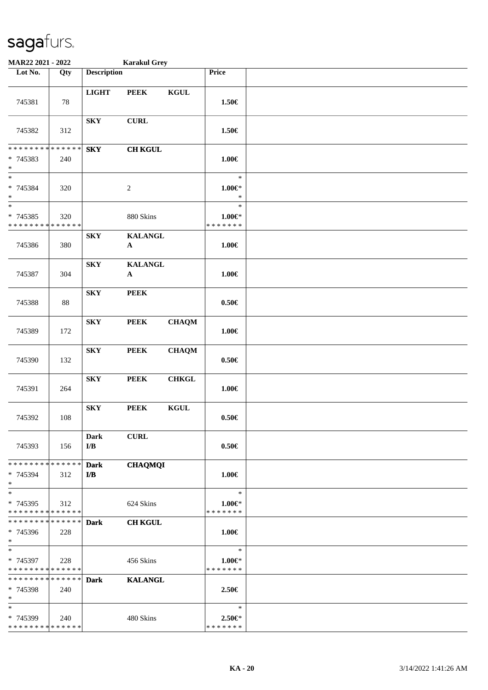| MAR22 2021 - 2022                                 |     |                                        | <b>Karakul Grey</b>            |                 |                                         |  |
|---------------------------------------------------|-----|----------------------------------------|--------------------------------|-----------------|-----------------------------------------|--|
| Lot No.                                           | Qty | <b>Description</b>                     |                                |                 | Price                                   |  |
| 745381                                            | 78  | <b>LIGHT</b>                           | <b>PEEK</b>                    | $\mathbf{KGUL}$ | 1.50€                                   |  |
| 745382                                            | 312 | <b>SKY</b>                             | <b>CURL</b>                    |                 | 1.50€                                   |  |
| * * * * * * * * * * * * * *<br>* 745383<br>$\ast$ | 240 | <b>SKY</b>                             | <b>CH KGUL</b>                 |                 | $1.00 \in$                              |  |
| $\ast$<br>* 745384<br>$\ast$                      | 320 |                                        | $\boldsymbol{2}$               |                 | $\ast$<br>$1.00 \in$ *<br>$\ast$        |  |
| $\ast$<br>* 745385<br>* * * * * * * * * * * * * * | 320 |                                        | 880 Skins                      |                 | $\ast$<br>$1.00 \in$<br>* * * * * * *   |  |
| 745386                                            | 380 | <b>SKY</b>                             | <b>KALANGL</b><br>$\mathbf{A}$ |                 | $1.00 \in$                              |  |
| 745387                                            | 304 | ${\bf S}{\bf K}{\bf Y}$                | <b>KALANGL</b><br>${\bf A}$    |                 | $1.00 \in$                              |  |
| 745388                                            | 88  | <b>SKY</b>                             | <b>PEEK</b>                    |                 | $0.50 \in$                              |  |
| 745389                                            | 172 | <b>SKY</b>                             | <b>PEEK</b>                    | <b>CHAQM</b>    | $1.00 \in$                              |  |
| 745390                                            | 132 | ${\bf S}{\bf K}{\bf Y}$                | <b>PEEK</b>                    | <b>CHAQM</b>    | $0.50\in$                               |  |
| 745391                                            | 264 | ${\bf S}{\bf K}{\bf Y}$                | <b>PEEK</b>                    | <b>CHKGL</b>    | $1.00 \in$                              |  |
| 745392                                            | 108 | ${\bf S}{\bf K}{\bf Y}$                | <b>PEEK</b>                    | $\mathbf{KGUL}$ | $0.50\in$                               |  |
| 745393                                            | 156 | Dark<br>I/B                            | <b>CURL</b>                    |                 | $0.50 \in$                              |  |
| * * * * * * * * * * * * * * *<br>* 745394<br>$*$  | 312 | <b>Dark</b><br>$\mathbf{I}/\mathbf{B}$ | <b>CHAQMQI</b>                 |                 | $1.00 \in$                              |  |
| $\ast$<br>* 745395<br>* * * * * * * * * * * * * * | 312 |                                        | 624 Skins                      |                 | $\ast$<br>$1.00 \in$<br>* * * * * * *   |  |
| **************<br>* 745396<br>$*$                 | 228 | <b>Dark</b>                            | <b>CH KGUL</b>                 |                 | $1.00 \in$                              |  |
| $*$<br>* 745397<br>* * * * * * * * * * * * * *    | 228 |                                        | 456 Skins                      |                 | $\ast$<br>$1.00 \in$ *<br>* * * * * * * |  |
| * * * * * * * * * * * * * * *<br>* 745398<br>$*$  | 240 | <b>Dark</b>                            | <b>KALANGL</b>                 |                 | 2.50€                                   |  |
| $\ast$<br>* 745399<br>* * * * * * * * * * * * * * | 240 |                                        | 480 Skins                      |                 | $\ast$<br>$2.50 \in$<br>* * * * * * *   |  |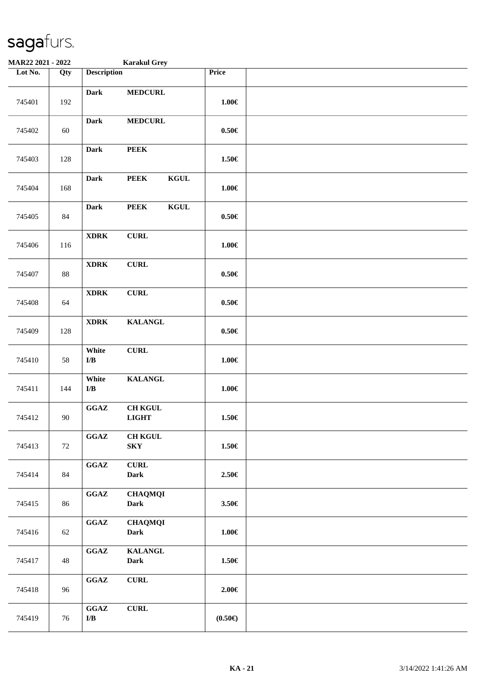| <b>MAR22 2021 - 2022</b> |        |                                                           | <b>Karakul Grey</b>            |             |                  |  |
|--------------------------|--------|-----------------------------------------------------------|--------------------------------|-------------|------------------|--|
| Lot No.                  | Qty    | <b>Description</b>                                        |                                |             | Price            |  |
| 745401                   | 192    | <b>Dark</b>                                               | <b>MEDCURL</b>                 |             | $1.00\in$        |  |
| 745402                   | 60     | <b>Dark</b>                                               | <b>MEDCURL</b>                 |             | $0.50 \in$       |  |
| 745403                   | 128    | <b>Dark</b>                                               | <b>PEEK</b>                    |             | 1.50€            |  |
| 745404                   | 168    | <b>Dark</b>                                               | <b>PEEK</b>                    | <b>KGUL</b> | $1.00\in$        |  |
| 745405                   | 84     | <b>Dark</b>                                               | <b>PEEK</b>                    | <b>KGUL</b> | $0.50\in$        |  |
| 745406                   | 116    | <b>XDRK</b>                                               | ${\bf CURL}$                   |             | $1.00 \in$       |  |
| 745407                   | 88     | <b>XDRK</b>                                               | <b>CURL</b>                    |             | $0.50\in$        |  |
| 745408                   | 64     | <b>XDRK</b>                                               | ${\bf CURL}$                   |             | $0.50 \in$       |  |
| 745409                   | 128    | <b>XDRK</b>                                               | <b>KALANGL</b>                 |             | $0.50\in$        |  |
| 745410                   | $58\,$ | White<br>${\bf I/B}$                                      | ${\bf CURL}$                   |             | $1.00\in$        |  |
| 745411                   | 144    | White<br>$\mathbf{I}/\mathbf{B}$                          | <b>KALANGL</b>                 |             | $1.00\in$        |  |
| 745412                   | 90     | GGAZ                                                      | <b>CH KGUL</b><br><b>LIGHT</b> |             | $1.50\in$        |  |
| 745413                   | 72     | $\mathbf{G}\mathbf{G}\mathbf{A}\mathbf{Z}$                | $\rm CH$ KGUL<br><b>SKY</b>    |             | $1.50\in$        |  |
| 745414                   | 84     | $\mathbf{G}\mathbf{G}\mathbf{A}\mathbf{Z}$                | ${\bf CURL}$<br><b>Dark</b>    |             | 2.50€            |  |
| 745415                   | 86     | GGAZ                                                      | <b>CHAQMQI</b><br><b>Dark</b>  |             | 3.50€            |  |
| 745416                   | 62     | $\mathbf{G}\mathbf{G}\mathbf{A}\mathbf{Z}$                | <b>CHAQMQI</b><br><b>Dark</b>  |             | $1.00\in$        |  |
| 745417                   | 48     | $\mathbf{G}\mathbf{G}\mathbf{A}\mathbf{Z}$                | <b>KALANGL</b><br><b>Dark</b>  |             | $1.50 \in$       |  |
| 745418                   | 96     | $\mathbf{G}\mathbf{G}\mathbf{A}\mathbf{Z}$                | ${\bf CURL}$                   |             | $2.00 \in$       |  |
| 745419                   | 76     | $\mathbf{G}\mathbf{G}\mathbf{A}\mathbf{Z}$<br>${\bf I/B}$ | ${\bf CURL}$                   |             | $(0.50\epsilon)$ |  |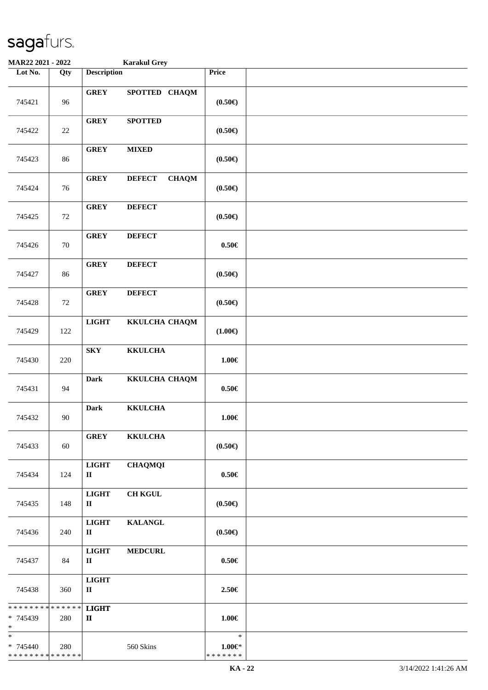| <b>MAR22 2021 - 2022</b>                                         |        |                              | <b>Karakul Grey</b>           |                                       |  |
|------------------------------------------------------------------|--------|------------------------------|-------------------------------|---------------------------------------|--|
| Lot No.                                                          | Qty    | <b>Description</b>           |                               | Price                                 |  |
| 745421                                                           | 96     | <b>GREY</b>                  | SPOTTED CHAQM                 | $(0.50 \infty)$                       |  |
| 745422                                                           | $22\,$ | <b>GREY</b>                  | <b>SPOTTED</b>                | $(0.50\epsilon)$                      |  |
| 745423                                                           | 86     | <b>GREY</b>                  | <b>MIXED</b>                  | $(0.50\epsilon)$                      |  |
| 745424                                                           | 76     | <b>GREY</b>                  | <b>CHAQM</b><br><b>DEFECT</b> | $(0.50\epsilon)$                      |  |
| 745425                                                           | 72     | <b>GREY</b>                  | <b>DEFECT</b>                 | $(0.50\epsilon)$                      |  |
| 745426                                                           | 70     | <b>GREY</b>                  | <b>DEFECT</b>                 | $0.50 \in$                            |  |
| 745427                                                           | 86     | <b>GREY</b>                  | <b>DEFECT</b>                 | $(0.50\epsilon)$                      |  |
| 745428                                                           | 72     | <b>GREY</b>                  | <b>DEFECT</b>                 | $(0.50\epsilon)$                      |  |
| 745429                                                           | 122    | <b>LIGHT</b>                 | KKULCHA CHAQM                 | $(1.00\epsilon)$                      |  |
| 745430                                                           | 220    | ${\bf S}{\bf K}{\bf Y}$      | <b>KKULCHA</b>                | $1.00\in$                             |  |
| 745431                                                           | 94     | <b>Dark</b>                  | KKULCHA CHAQM                 | $0.50\in$                             |  |
| 745432                                                           | 90     | <b>Dark</b>                  | <b>KKULCHA</b>                | $1.00\in$                             |  |
| 745433                                                           | 60     | <b>GREY</b>                  | <b>KKULCHA</b>                | $(0.50\epsilon)$                      |  |
| 745434                                                           | 124    | <b>LIGHT</b><br>$\mathbf{I}$ | <b>CHAQMQI</b>                | $0.50 \in$                            |  |
| 745435                                                           | 148    | <b>LIGHT</b><br>$\mathbf{I}$ | <b>CH KGUL</b>                | $(0.50 \infty)$                       |  |
| 745436                                                           | 240    | <b>LIGHT</b><br>$\mathbf{I}$ | <b>KALANGL</b>                | $(0.50 \infty)$                       |  |
| 745437                                                           | 84     | <b>LIGHT</b><br>$\mathbf{I}$ | <b>MEDCURL</b>                | $0.50 \in$                            |  |
| 745438                                                           | 360    | <b>LIGHT</b><br>$\mathbf{I}$ |                               | 2.50€                                 |  |
| * * * * * * * * <mark>* * * * * * *</mark><br>* 745439<br>$\ast$ | 280    | <b>LIGHT</b><br>$\mathbf{I}$ |                               | $1.00 \in$                            |  |
| $\ast$<br>* 745440<br>* * * * * * * * * * * * * *                | 280    |                              | 560 Skins                     | $\ast$<br>$1.00 \in$<br>* * * * * * * |  |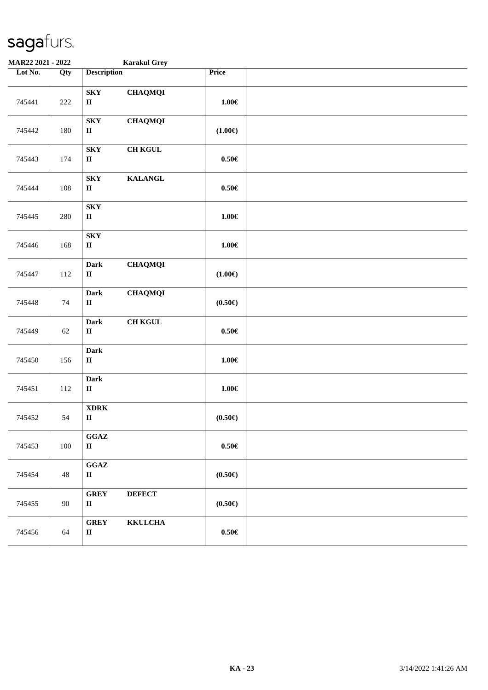| MAR22 2021 - 2022 |                   | <b>Karakul Grey</b>                                          |                  |  |
|-------------------|-------------------|--------------------------------------------------------------|------------------|--|
| Lot No.           | $\overline{Q}$ ty | <b>Description</b>                                           | Price            |  |
| 745441            | $222\,$           | <b>SKY</b><br><b>CHAQMQI</b><br>$\rm II$                     | $1.00\in$        |  |
| 745442            | 180               | <b>CHAQMQI</b><br><b>SKY</b><br>$\mathbf{I}$                 | $(1.00\epsilon)$ |  |
| 745443            | 174               | <b>SKY</b><br><b>CH KGUL</b><br>$\mathbf H$                  | $0.50\in$        |  |
| 745444            | 108               | <b>SKY</b><br><b>KALANGL</b><br>$\mathbf{I}$                 | $0.50\in$        |  |
| 745445            | 280               | ${\bf S}{\bf K}{\bf Y}$<br>$\rm II$                          | $1.00\in$        |  |
| 745446            | 168               | ${\bf S}{\bf K}{\bf Y}$<br>$\rm II$                          | $1.00\in$        |  |
| 745447            | 112               | <b>CHAQMQI</b><br>Dark<br>$\rm II$                           | $(1.00\epsilon)$ |  |
| 745448            | 74                | <b>CHAQMQI</b><br><b>Dark</b><br>$\rm II$                    | $(0.50 \infty)$  |  |
| 745449            | 62                | <b>CH KGUL</b><br><b>Dark</b><br>$\mathbf{I}$                | $0.50\in$        |  |
| 745450            | 156               | Dark<br>$\mathbf H$                                          | $1.00\in$        |  |
| 745451            | 112               | Dark<br>$\rm II$                                             | $1.00\in$        |  |
| 745452            | 54                | $\bold{X} \bold{D} \bold{R} \bold{K}$<br>$\rm II$            | $(0.50 \infty)$  |  |
| 745453            | 100               | $\mathbf{G}\mathbf{G}\mathbf{A}\mathbf{Z}$<br>$\rm II$       | $0.50\in$        |  |
| 745454            | 48                | GGAZ<br>$\rm II$                                             | $(0.50 \infty)$  |  |
| 745455            | 90                | <b>GREY</b><br><b>DEFECT</b><br>$\mathbf{I}$                 | $(0.50 \infty)$  |  |
| 745456            | 64                | ${\bf G}\bf{R}\bf{E}\bf{Y}$<br><b>KKULCHA</b><br>$\mathbf H$ | $0.50\in$        |  |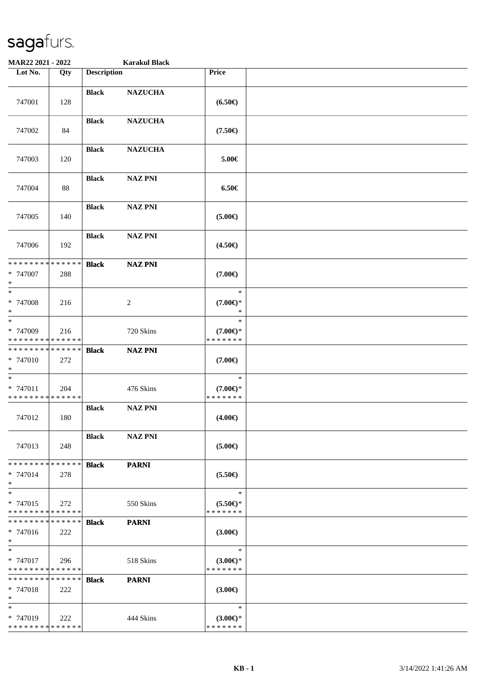| MAR22 2021 - 2022                                 |     |                    | <b>Karakul Black</b> |                                               |  |
|---------------------------------------------------|-----|--------------------|----------------------|-----------------------------------------------|--|
| Lot No.                                           | Qty | <b>Description</b> |                      | Price                                         |  |
| 747001                                            | 128 | <b>Black</b>       | <b>NAZUCHA</b>       | $(6.50\epsilon)$                              |  |
| 747002                                            | 84  | <b>Black</b>       | <b>NAZUCHA</b>       | $(7.50\epsilon)$                              |  |
| 747003                                            | 120 | <b>Black</b>       | <b>NAZUCHA</b>       | 5.00€                                         |  |
| 747004                                            | 88  | <b>Black</b>       | <b>NAZ PNI</b>       | $6.50 \in$                                    |  |
| 747005                                            | 140 | <b>Black</b>       | <b>NAZ PNI</b>       | $(5.00\epsilon)$                              |  |
| 747006                                            | 192 | <b>Black</b>       | <b>NAZ PNI</b>       | $(4.50\epsilon)$                              |  |
| * * * * * * * * * * * * * *<br>* 747007<br>$\ast$ | 288 | <b>Black</b>       | <b>NAZ PNI</b>       | $(7.00\epsilon)$                              |  |
| $*$<br>* 747008<br>$\ast$<br>$*$                  | 216 |                    | 2                    | $\ast$<br>$(7.00\epsilon)$ *<br>∗             |  |
| * 747009<br>* * * * * * * * * * * * * *           | 216 |                    | 720 Skins            | $\ast$<br>$(7.00\epsilon)$ *<br>* * * * * * * |  |
| * * * * * * * * * * * * * *<br>* 747010<br>$*$    | 272 | <b>Black</b>       | <b>NAZ PNI</b>       | $(7.00\epsilon)$                              |  |
| $*$<br>* 747011<br>* * * * * * * * * * * * * *    | 204 |                    | 476 Skins            | $\ast$<br>$(7.00 \in )$ *<br>* * * * * * *    |  |
| 747012                                            | 180 | <b>Black</b>       | <b>NAZ PNI</b>       | $(4.00\epsilon)$                              |  |
| 747013                                            | 248 | <b>Black</b>       | <b>NAZ PNI</b>       | (5.00)                                        |  |
| * * * * * * * * * * * * * *<br>* 747014<br>$*$    | 278 | <b>Black</b>       | <b>PARNI</b>         | $(5.50\epsilon)$                              |  |
| $*$<br>* 747015<br>* * * * * * * * * * * * * *    | 272 |                    | 550 Skins            | $\ast$<br>$(5.50 \in )^*$<br>* * * * * * *    |  |
| * * * * * * * * * * * * * * *<br>* 747016<br>$*$  | 222 | <b>Black</b>       | <b>PARNI</b>         | $(3.00\epsilon)$                              |  |
| $*$<br>* 747017<br>* * * * * * * * * * * * * *    | 296 |                    | 518 Skins            | $\ast$<br>$(3.00 \in )^*$<br>* * * * * * *    |  |
| * * * * * * * * * * * * * * *<br>* 747018<br>$*$  | 222 | <b>Black</b>       | <b>PARNI</b>         | $(3.00\epsilon)$                              |  |
| $\ast$<br>* 747019<br>* * * * * * * * * * * * * * | 222 |                    | 444 Skins            | $\ast$<br>$(3.00\epsilon)$ *<br>* * * * * * * |  |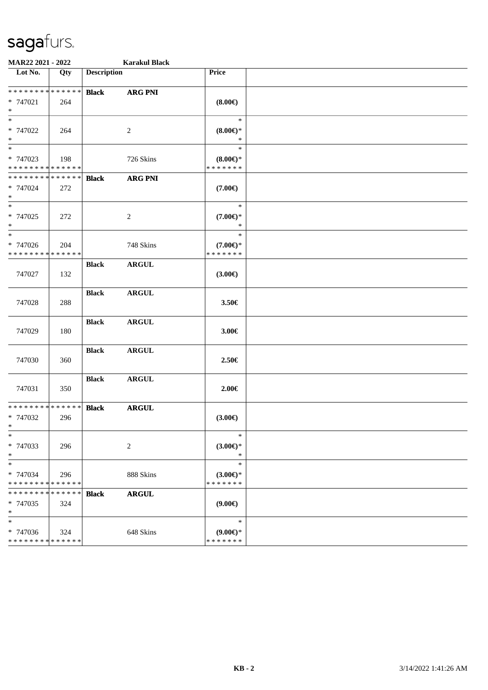| MAR22 2021 - 2022                                 |                    |                    | <b>Karakul Black</b> |                                                  |  |
|---------------------------------------------------|--------------------|--------------------|----------------------|--------------------------------------------------|--|
| Lot No.                                           | Qty                | <b>Description</b> |                      | Price                                            |  |
| * * * * * * * * * * * * * *                       |                    | <b>Black</b>       | <b>ARG PNI</b>       |                                                  |  |
| * 747021<br>$\ast$                                | 264                |                    |                      | $(8.00\epsilon)$                                 |  |
| $\ast$<br>* 747022<br>$\ast$                      | 264                |                    | $\overline{c}$       | $\ast$<br>$(8.00\epsilon)$ *<br>∗                |  |
| $\ast$<br>* 747023<br>* * * * * * * * * * * * * * | 198                |                    | 726 Skins            | $\ast$<br>$(8.00\epsilon)$ *<br>* * * * * * *    |  |
| * * * * * * * * * * * * * *<br>* 747024<br>$\ast$ | 272                | <b>Black</b>       | <b>ARG PNI</b>       | $(7.00\epsilon)$                                 |  |
| $_{\ast}^{-}$<br>* 747025<br>$\ast$               | 272                |                    | $\overline{c}$       | $\ast$<br>$(7.00\epsilon)$ *<br>$\ast$           |  |
| $\ast$<br>* 747026<br>* * * * * * * * * * * * * * | 204                |                    | 748 Skins            | $\ast$<br>$(7.00\epsilon)$ *<br>* * * * * * *    |  |
| 747027                                            | 132                | <b>Black</b>       | <b>ARGUL</b>         | $(3.00\epsilon)$                                 |  |
| 747028                                            | 288                | <b>Black</b>       | ${\bf ARGUL}$        | 3.50€                                            |  |
| 747029                                            | 180                | <b>Black</b>       | <b>ARGUL</b>         | 3.00€                                            |  |
| 747030                                            | 360                | <b>Black</b>       | <b>ARGUL</b>         | 2.50€                                            |  |
| 747031                                            | 350                | <b>Black</b>       | <b>ARGUL</b>         | $2.00\in$                                        |  |
| * * * * * * * * * * * * * *<br>* 747032<br>$*$    | 296                | <b>Black</b>       | <b>ARGUL</b>         | $(3.00\epsilon)$                                 |  |
| $\ast$<br>* 747033<br>$\ast$                      | 296                |                    | $\overline{c}$       | $\ast$<br>$(3.00 \in )^*$<br>$\ast$              |  |
| $\ast$<br>* 747034<br>* * * * * * * *             | 296<br>* * * * * * |                    | 888 Skins            | $\ast$<br>$(3.00\varepsilon)$ *<br>* * * * * * * |  |
| * * * * * * *<br>* 747035<br>$\ast$               | * * * * * *<br>324 | <b>Black</b>       | <b>ARGUL</b>         | (9.00)                                           |  |
| $\ast$<br>* 747036<br>* * * * * * * * * * * * * * | 324                |                    | 648 Skins            | $\ast$<br>$(9.00 \in )$ *<br>* * * * * * *       |  |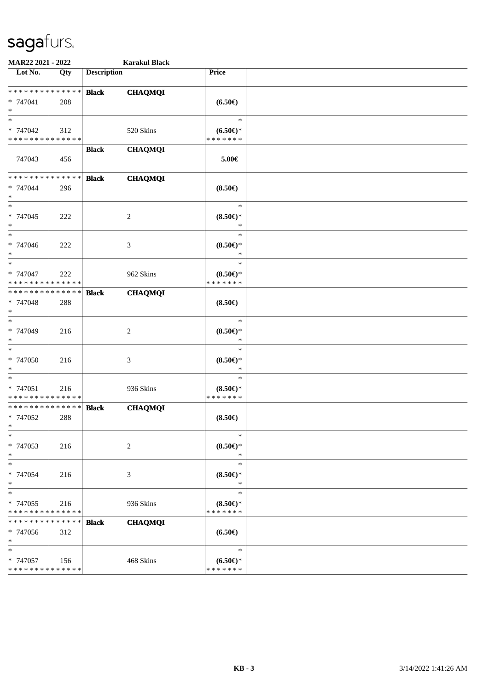| MAR22 2021 - 2022                                         |                    |                    | <b>Karakul Black</b> |                                            |  |
|-----------------------------------------------------------|--------------------|--------------------|----------------------|--------------------------------------------|--|
| Lot No.                                                   | Qty                | <b>Description</b> |                      | Price                                      |  |
| * * * * * * * * * * * * * *<br>* 747041<br>$*$            | 208                | <b>Black</b>       | <b>CHAQMQI</b>       | $(6.50\epsilon)$                           |  |
| $*$<br>* 747042<br>* * * * * * * * * * * * * *            | 312                |                    | 520 Skins            | $\ast$<br>$(6.50*)$<br>* * * * * * *       |  |
| 747043                                                    | 456                | <b>Black</b>       | <b>CHAQMQI</b>       | 5.00€                                      |  |
| * * * * * * * * * * * * * *<br>* 747044<br>$\ast$         | 296                | <b>Black</b>       | <b>CHAQMQI</b>       | $(8.50\epsilon)$                           |  |
| $*$<br>$* 747045$<br>$\ast$                               | 222                |                    | $\overline{c}$       | $\ast$<br>$(8.50 \in )^*$<br>$\ast$        |  |
| $\ast$<br>* 747046<br>$*$                                 | 222                |                    | $\mathfrak{Z}$       | $\ast$<br>$(8.50\epsilon)$ *<br>$\ast$     |  |
| $*$<br>* 747047<br>* * * * * * * * * * * * * *            | 222                |                    | 962 Skins            | $\ast$<br>$(8.50 \in )^*$<br>* * * * * * * |  |
| * * * * * * * *<br>* 747048<br>$*$                        | ******<br>288      | <b>Black</b>       | <b>CHAQMQI</b>       | $(8.50\epsilon)$                           |  |
| $*$<br>* 747049<br>$\ast$                                 | 216                |                    | 2                    | $\ast$<br>$(8.50 \in )^*$<br>$\ast$        |  |
| $\ast$<br>$* 747050$<br>$*$                               | 216                |                    | 3                    | $\ast$<br>$(8.50 \in )^*$<br>$\ast$        |  |
| $*$<br>* 747051<br>* * * * * * * * * * * * * *            | 216                |                    | 936 Skins            | $\ast$<br>$(8.50 \in )^*$<br>* * * * * * * |  |
| * * * * * * * * * * * * * *<br>* 747052<br>$\star$ $\sim$ | 288                | <b>Black</b>       | <b>CHAQMQI</b>       | $(8.50\epsilon)$                           |  |
| $\ast$<br>* 747053<br>$*$                                 | 216                |                    | 2                    | $\ast$<br>$(8.50 \in )^*$<br>$\ast$        |  |
| $\ast$<br>* 747054<br>$*$                                 | 216                |                    | 3                    | $\ast$<br>$(8.50 \in )^*$<br>$\ast$        |  |
| $*$<br>* 747055<br>* * * * * * * * * * * * * *            | 216                |                    | 936 Skins            | $\ast$<br>$(8.50 \in )^*$<br>* * * * * * * |  |
| * * * * * * *<br>* 747056<br>$*$                          | * * * * * *<br>312 | <b>Black</b>       | <b>CHAQMQI</b>       | $(6.50\epsilon)$                           |  |
| $\ast$<br>* 747057<br>* * * * * * * * * * * * * *         | 156                |                    | 468 Skins            | $\ast$<br>$(6.50*)$<br>* * * * * * *       |  |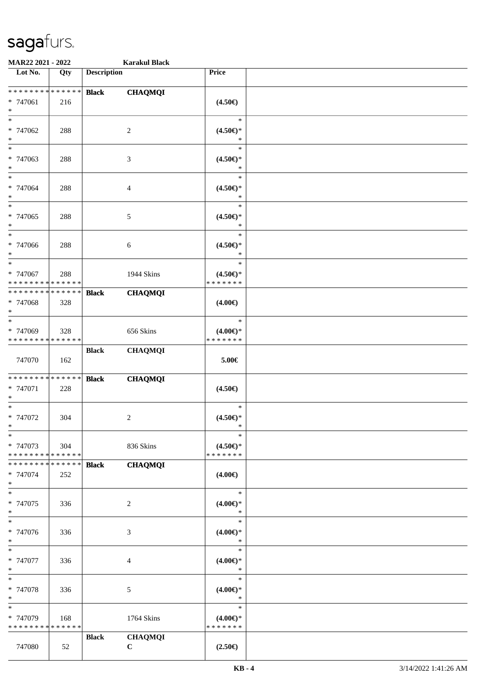| MAR22 2021 - 2022                       |             |                    | <b>Karakul Black</b> |                                  |  |
|-----------------------------------------|-------------|--------------------|----------------------|----------------------------------|--|
| Lot No.                                 | Qty         | <b>Description</b> |                      | Price                            |  |
|                                         |             |                    |                      |                                  |  |
| ******** <mark>******</mark>            |             | <b>Black</b>       | <b>CHAQMQI</b>       |                                  |  |
| * 747061                                | 216         |                    |                      | $(4.50\epsilon)$                 |  |
| $\ast$<br>$*$                           |             |                    |                      | $\ast$                           |  |
|                                         |             |                    |                      |                                  |  |
| * 747062<br>$\ast$                      | 288         |                    | 2                    | $(4.50\epsilon)$ *<br>∗          |  |
| $*$                                     |             |                    |                      | $\ast$                           |  |
| * 747063                                |             |                    |                      |                                  |  |
| $\ast$                                  | 288         |                    | 3                    | $(4.50\in)\!\!^*$<br>$\ast$      |  |
| $*$                                     |             |                    |                      | $\ast$                           |  |
| * 747064                                | 288         |                    | 4                    | $(4.50\epsilon)$ *               |  |
| $\ast$                                  |             |                    |                      | $\ast$                           |  |
| $\ast$                                  |             |                    |                      | $\ast$                           |  |
| * 747065                                | 288         |                    | 5                    | $(4.50 \in )^*$                  |  |
| $\ast$                                  |             |                    |                      | $\ast$                           |  |
| $*$                                     |             |                    |                      | $\ast$                           |  |
| * 747066                                | 288         |                    | 6                    | $(4.50 \in )^*$                  |  |
| $*$                                     |             |                    |                      | $\ast$                           |  |
| $\ast$                                  |             |                    |                      | $\ast$                           |  |
| * 747067                                | 288         |                    | 1944 Skins           | $(4.50\epsilon)$ *               |  |
| * * * * * * * * * * * * * *             |             |                    |                      | * * * * * * *                    |  |
| * * * * * * * * * * * * * *             |             | <b>Black</b>       | <b>CHAQMQI</b>       |                                  |  |
| * 747068                                | 328         |                    |                      | $(4.00\epsilon)$                 |  |
| $*$                                     |             |                    |                      |                                  |  |
| $*$                                     |             |                    |                      | $\ast$                           |  |
| * 747069                                | 328         |                    | 656 Skins            | $(4.00\epsilon)$ *               |  |
| * * * * * * * * * * * * * *             |             |                    |                      | * * * * * * *                    |  |
|                                         |             | <b>Black</b>       | <b>CHAQMQI</b>       |                                  |  |
| 747070                                  | 162         |                    |                      | $5.00\in$                        |  |
|                                         |             |                    |                      |                                  |  |
| * * * * * * * * * * * * * *             |             | <b>Black</b>       | <b>CHAQMQI</b>       |                                  |  |
| * 747071                                | 228         |                    |                      | $(4.50\epsilon)$                 |  |
| $*$                                     |             |                    |                      |                                  |  |
| $*$                                     |             |                    |                      | $\ast$                           |  |
| $* 747072$                              | 304         |                    | $\overline{c}$       | $(4.50\epsilon)$ *               |  |
| $*$                                     |             |                    |                      | $\ast$                           |  |
| $\ast$                                  |             |                    |                      | $\ast$                           |  |
| * 747073<br>* * * * * * * * * * * * * * | 304         |                    | 836 Skins            | $(4.50 \in )^*$<br>* * * * * * * |  |
|                                         |             |                    |                      |                                  |  |
| * * * * * * * *                         | * * * * * * | <b>Black</b>       | <b>CHAQMQI</b>       |                                  |  |
| * 747074<br>$*$                         | 252         |                    |                      | $(4.00\epsilon)$                 |  |
| $*$                                     |             |                    |                      | $\ast$                           |  |
| * 747075                                | 336         |                    | $\overline{c}$       | $(4.00\epsilon)$ *               |  |
| $*$                                     |             |                    |                      | $\ast$                           |  |
| $\ast$                                  |             |                    |                      | $\ast$                           |  |
| * 747076                                | 336         |                    | 3                    | $(4.00\epsilon)$ *               |  |
| $*$                                     |             |                    |                      | $\ast$                           |  |
| $*$                                     |             |                    |                      | $\ast$                           |  |
| * 747077                                | 336         |                    | 4                    | $(4.00\epsilon)$ *               |  |
| $*$                                     |             |                    |                      | $\ast$                           |  |
| $*$                                     |             |                    |                      | $\ast$                           |  |
| * 747078                                | 336         |                    | 5                    | $(4.00\epsilon)$ *               |  |
| $*$                                     |             |                    |                      | $\ast$                           |  |
| $\ast$                                  |             |                    |                      | $\ast$                           |  |
| * 747079                                | 168         |                    | 1764 Skins           | $(4.00\epsilon)$ *               |  |
| * * * * * * * *                         | * * * * * * |                    |                      | * * * * * * *                    |  |
|                                         |             | <b>Black</b>       | <b>CHAQMQI</b>       |                                  |  |
| 747080                                  | 52          |                    | $\mathbf C$          | $(2.50\epsilon)$                 |  |
|                                         |             |                    |                      |                                  |  |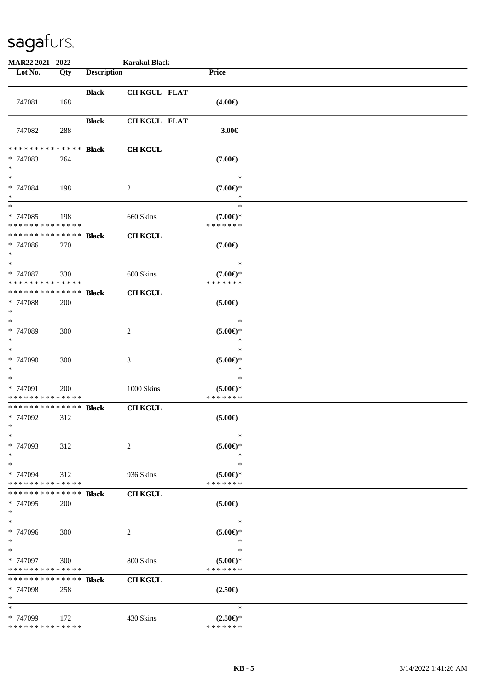| MAR22 2021 - 2022                                 |                    |                    | <b>Karakul Black</b> |                                               |  |
|---------------------------------------------------|--------------------|--------------------|----------------------|-----------------------------------------------|--|
| Lot No.                                           | Qty                | <b>Description</b> |                      | Price                                         |  |
| 747081                                            | 168                | <b>Black</b>       | CH KGUL FLAT         | $(4.00\epsilon)$                              |  |
| 747082                                            | 288                | <b>Black</b>       | <b>CH KGUL FLAT</b>  | 3.00€                                         |  |
| * * * * * * * * * * * * * *<br>* 747083<br>$*$    | 264                | <b>Black</b>       | <b>CH KGUL</b>       | $(7.00\epsilon)$                              |  |
| $*$<br>* 747084<br>$*$                            | 198                |                    | $\overline{c}$       | $\ast$<br>$(7.00\epsilon)$ *<br>$\ast$        |  |
| $*$<br>* 747085<br>* * * * * * * * * * * * * *    | 198                |                    | 660 Skins            | $\ast$<br>$(7.00\epsilon)$ *<br>* * * * * * * |  |
| * * * * * * * * * * * * * *<br>* 747086<br>$*$    | 270                | <b>Black</b>       | <b>CH KGUL</b>       | $(7.00\epsilon)$                              |  |
| $\ast$<br>* 747087<br>* * * * * * * * * * * * * * | 330                |                    | 600 Skins            | $\ast$<br>$(7.00\epsilon)$ *<br>* * * * * * * |  |
| * * * * * * * * * * * * * *<br>* 747088<br>$*$    | 200                | <b>Black</b>       | <b>CH KGUL</b>       | $(5.00\epsilon)$                              |  |
| $*$<br>* 747089<br>$*$                            | 300                |                    | 2                    | $\ast$<br>$(5.00\epsilon)$ *<br>*             |  |
| $\ast$<br>* 747090<br>$*$                         | 300                |                    | $\mathfrak{Z}$       | $\ast$<br>$(5.00\epsilon)$ *<br>$\ast$        |  |
| $*$<br>* 747091<br>* * * * * * * * * * * * * *    | 200                |                    | 1000 Skins           | $\ast$<br>$(5.00 \in )^*$<br>* * * * * * *    |  |
| * * * * * * * * * * * * * *<br>* 747092<br>$*$    | 312                | <b>Black</b>       | <b>CH KGUL</b>       | $(5.00\epsilon)$                              |  |
| $\ast$<br>* 747093<br>$*$                         | 312                |                    | 2                    | $\ast$<br>$(5.00 \in )^*$<br>$\ast$           |  |
| $*$<br>* 747094<br>* * * * * * * * * * * * * *    | 312                |                    | 936 Skins            | $\ast$<br>$(5.00\epsilon)$ *<br>* * * * * * * |  |
| * * * * * * * *<br>* 747095<br>$*$                | ******<br>200      | <b>Black</b>       | <b>CH KGUL</b>       | $(5.00\epsilon)$                              |  |
| $\ast$<br>* 747096<br>$*$                         | 300                |                    | 2                    | $\ast$<br>$(5.00 \in )^*$<br>$\ast$           |  |
| $*$<br>* 747097<br>* * * * * * * * * * * * * *    | 300                |                    | 800 Skins            | $\ast$<br>$(5.00 \in )^*$<br>* * * * * * *    |  |
| * * * * * * * *<br>* 747098<br>$*$                | * * * * * *<br>258 | <b>Black</b>       | <b>CH KGUL</b>       | $(2.50\epsilon)$                              |  |
| $\ast$<br>* 747099<br>* * * * * * * * * * * * * * | 172                |                    | 430 Skins            | $\ast$<br>$(2.50 \in )^*$<br>* * * * * * *    |  |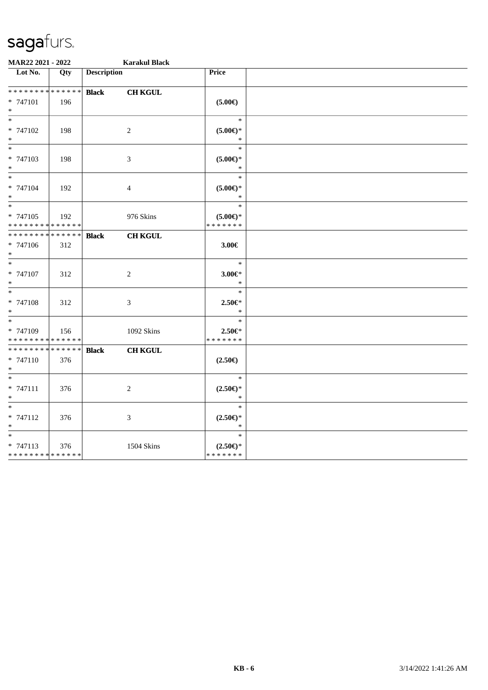| MAR22 2021 - 2022                                                     |     |                    | <b>Karakul Black</b>        |                                            |  |
|-----------------------------------------------------------------------|-----|--------------------|-----------------------------|--------------------------------------------|--|
| $\overline{\phantom{1}}$ Lot No.                                      | Qty | <b>Description</b> |                             | Price                                      |  |
| **************                                                        |     | <b>Black</b>       | <b>CH KGUL</b>              |                                            |  |
| * 747101<br>$*$                                                       | 196 |                    |                             | $(5.00\epsilon)$                           |  |
| $*$<br>* 747102<br>$\ast$                                             | 198 |                    | $\overline{c}$              | $\ast$<br>$(5.00 \in )^*$<br>$\ast$        |  |
| $\ast$<br>* 747103<br>$\ast$                                          | 198 |                    | $\ensuremath{\mathfrak{Z}}$ | $\ast$<br>$(5.00\epsilon)$ *<br>$\ast$     |  |
| $\frac{1}{*}$<br>* 747104<br>$*$                                      | 192 |                    | $\overline{4}$              | $\ast$<br>$(5.00 \in )^*$<br>$\ast$        |  |
| $\overline{\phantom{a}^*}$<br>* 747105<br>* * * * * * * * * * * * * * | 192 |                    | 976 Skins                   | $\ast$<br>$(5.00 \in )^*$<br>* * * * * * * |  |
| * * * * * * * * * * * * * *<br>* 747106<br>$\ast$                     | 312 | <b>Black</b>       | <b>CH KGUL</b>              | 3.00€                                      |  |
| $\ast$<br>* 747107<br>$\ast$                                          | 312 |                    | $\sqrt{2}$                  | $\ast$<br>$3.00 \in$ *<br>$\ast$           |  |
| $\overline{\ast}$<br>* 747108<br>$\ast$                               | 312 |                    | $\mathfrak{Z}$              | $\ast$<br>$2.50 \in$<br>$\ast$             |  |
| $\ast$<br>* 747109<br>* * * * * * * * * * * * * *                     | 156 |                    | 1092 Skins                  | $\ast$<br>$2.50 \in$<br>* * * * * * *      |  |
| * * * * * * * * * * * * * *<br>* 747110<br>$\ast$                     | 376 | <b>Black</b>       | <b>CH KGUL</b>              | $(2.50\epsilon)$                           |  |
| $\ast$<br>$* 747111$<br>$\ast$                                        | 376 |                    | $\overline{c}$              | $\ast$<br>$(2.50 \in )^*$<br>$\ast$        |  |
| $\ast$<br>* 747112<br>$\ast$                                          | 376 |                    | 3                           | $\ast$<br>$(2.50 \in )^*$<br>$\ast$        |  |
| $\ast$<br>$* 747113$<br>******** <mark>******</mark>                  | 376 |                    | <b>1504 Skins</b>           | $\ast$<br>$(2.50 \in )^*$<br>* * * * * * * |  |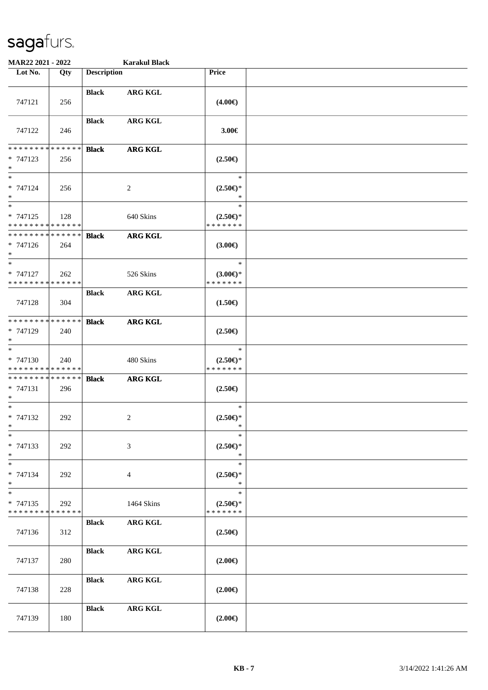| MAR22 2021 - 2022                                                   |     |                    | <b>Karakul Black</b> |                                               |  |
|---------------------------------------------------------------------|-----|--------------------|----------------------|-----------------------------------------------|--|
| Lot No.                                                             | Qty | <b>Description</b> |                      | Price                                         |  |
| 747121                                                              | 256 | <b>Black</b>       | <b>ARG KGL</b>       | $(4.00\epsilon)$                              |  |
| 747122                                                              | 246 | <b>Black</b>       | <b>ARG KGL</b>       | 3.00€                                         |  |
| * * * * * * * * * * * * * *<br>$* 747123$<br>$\ast$                 | 256 | <b>Black</b>       | <b>ARG KGL</b>       | $(2.50\epsilon)$                              |  |
| $\ast$<br>* 747124<br>$\ast$                                        | 256 |                    | $\overline{2}$       | $\ast$<br>$(2.50 \in )^*$<br>$\ast$           |  |
| $\overline{\phantom{1}}$<br>* 747125<br>* * * * * * * * * * * * * * | 128 |                    | 640 Skins            | $\ast$<br>$(2.50\epsilon)$ *<br>* * * * * * * |  |
| * * * * * * * * * * * * * *<br>$* 747126$<br>$\ast$                 | 264 | <b>Black</b>       | <b>ARG KGL</b>       | $(3.00\epsilon)$                              |  |
| $\ast$<br>* 747127<br>* * * * * * * * * * * * * *                   | 262 |                    | 526 Skins            | $\ast$<br>$(3.00 \in )$ *<br>* * * * * * *    |  |
| 747128                                                              | 304 | <b>Black</b>       | ARG KGL              | $(1.50\epsilon)$                              |  |
| **************<br>* 747129<br>$\ast$                                | 240 | <b>Black</b>       | <b>ARG KGL</b>       | $(2.50\epsilon)$                              |  |
| $\ast$<br>* 747130<br>* * * * * * * * * * * * * *                   | 240 |                    | 480 Skins            | $\ast$<br>$(2.50 \in )^*$<br>* * * * * * *    |  |
| **************<br>$* 747131$<br>$\ast$                              | 296 | <b>Black</b>       | <b>ARG KGL</b>       | $(2.50\epsilon)$                              |  |
| $*$<br>$* 747132$<br>$*$                                            | 292 |                    | $\overline{c}$       | $\ast$<br>$(2.50 \in )^*$<br>∗                |  |
| $\ast$<br>$* 747133$<br>$*$                                         | 292 |                    | 3                    | $\ast$<br>$(2.50 \in )^*$<br>$\ast$           |  |
| $\ast$<br>* 747134<br>$\ast$                                        | 292 |                    | 4                    | $\ast$<br>$(2.50 \in )^*$<br>$\ast$           |  |
| $\ast$<br>* 747135<br>* * * * * * * * * * * * * *                   | 292 |                    | 1464 Skins           | $\ast$<br>$(2.50 \in )^*$<br>* * * * * * *    |  |
| 747136                                                              | 312 | <b>Black</b>       | <b>ARG KGL</b>       | $(2.50\epsilon)$                              |  |
| 747137                                                              | 280 | <b>Black</b>       | <b>ARG KGL</b>       | $(2.00\epsilon)$                              |  |
| 747138                                                              | 228 | <b>Black</b>       | <b>ARG KGL</b>       | $(2.00\epsilon)$                              |  |
| 747139                                                              | 180 | <b>Black</b>       | <b>ARG KGL</b>       | $(2.00\epsilon)$                              |  |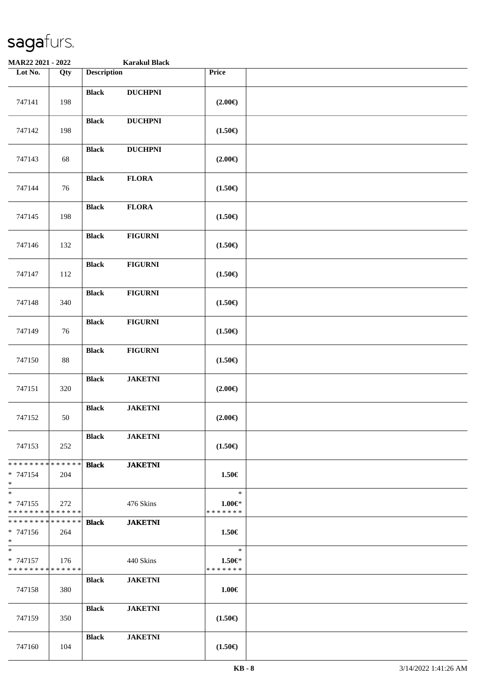| <b>MAR22 2021 - 2022</b>                           |        |                    | <b>Karakul Black</b> |                                       |  |
|----------------------------------------------------|--------|--------------------|----------------------|---------------------------------------|--|
| Lot No.                                            | Qty    | <b>Description</b> |                      | Price                                 |  |
| 747141                                             | 198    | <b>Black</b>       | <b>DUCHPNI</b>       | $(2.00\epsilon)$                      |  |
| 747142                                             | 198    | <b>Black</b>       | <b>DUCHPNI</b>       | $(1.50\epsilon)$                      |  |
| 747143                                             | 68     | <b>Black</b>       | <b>DUCHPNI</b>       | $(2.00\epsilon)$                      |  |
| 747144                                             | 76     | <b>Black</b>       | <b>FLORA</b>         | $(1.50\epsilon)$                      |  |
| 747145                                             | 198    | <b>Black</b>       | <b>FLORA</b>         | $(1.50\epsilon)$                      |  |
| 747146                                             | 132    | <b>Black</b>       | <b>FIGURNI</b>       | $(1.50\epsilon)$                      |  |
| 747147                                             | 112    | <b>Black</b>       | <b>FIGURNI</b>       | $(1.50\epsilon)$                      |  |
| 747148                                             | 340    | <b>Black</b>       | <b>FIGURNI</b>       | $(1.50\epsilon)$                      |  |
| 747149                                             | 76     | <b>Black</b>       | <b>FIGURNI</b>       | $(1.50\epsilon)$                      |  |
| 747150                                             | $88\,$ | <b>Black</b>       | <b>FIGURNI</b>       | $(1.50\epsilon)$                      |  |
| 747151                                             | 320    | <b>Black</b>       | <b>JAKETNI</b>       | $(2.00\epsilon)$                      |  |
| 747152                                             | 50     | <b>Black</b>       | <b>JAKETNI</b>       | $(2.00\epsilon)$                      |  |
| 747153                                             | 252    | <b>Black</b>       | <b>JAKETNI</b>       | $(1.50\epsilon)$                      |  |
| * * * * * * * * * * * * * * *<br>* 747154<br>$*$   | 204    | <b>Black</b>       | <b>JAKETNI</b>       | 1.50€                                 |  |
| $*$<br>$* 747155$<br>* * * * * * * * * * * * * *   | 272    |                    | 476 Skins            | $\ast$<br>$1.00 \in$<br>* * * * * * * |  |
| * * * * * * * * * * * * * * *<br>$* 747156$<br>$*$ | 264    | <b>Black</b>       | <b>JAKETNI</b>       | 1.50€                                 |  |
| $*$<br>$* 747157$<br>* * * * * * * * * * * * * *   | 176    |                    | 440 Skins            | $\ast$<br>$1.50 \in$<br>* * * * * * * |  |
| 747158                                             | 380    | <b>Black</b>       | <b>JAKETNI</b>       | $1.00 \in$                            |  |
| 747159                                             | 350    | <b>Black</b>       | <b>JAKETNI</b>       | $(1.50\epsilon)$                      |  |
| 747160                                             | 104    | <b>Black</b>       | <b>JAKETNI</b>       | $(1.50\in)$                           |  |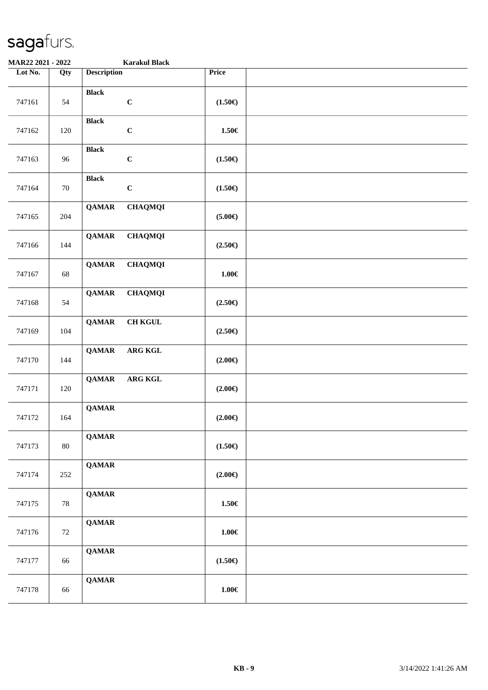| MAR22 2021 - 2022 |     | <b>Karakul Black</b>           |                  |  |
|-------------------|-----|--------------------------------|------------------|--|
| Lot No.           | Qty | <b>Description</b>             | Price            |  |
| 747161            | 54  | <b>Black</b><br>$\mathbf C$    | $(1.50\epsilon)$ |  |
| 747162            | 120 | <b>Black</b><br>$\mathbf C$    | 1.50€            |  |
| 747163            | 96  | <b>Black</b><br>$\mathbf C$    | $(1.50\epsilon)$ |  |
| 747164            | 70  | <b>Black</b><br>$\mathbf C$    | $(1.50\epsilon)$ |  |
| 747165            | 204 | <b>QAMAR</b><br><b>CHAQMQI</b> | $(5.00\epsilon)$ |  |
| 747166            | 144 | <b>QAMAR</b><br><b>CHAQMQI</b> | $(2.50\epsilon)$ |  |
| 747167            | 68  | <b>QAMAR</b><br><b>CHAQMQI</b> | $1.00\in$        |  |
| 747168            | 54  | <b>QAMAR</b><br><b>CHAQMQI</b> | $(2.50\epsilon)$ |  |
| 747169            | 104 | <b>CH KGUL</b><br><b>QAMAR</b> | $(2.50\epsilon)$ |  |
| 747170            | 144 | <b>QAMAR</b><br>ARG KGL        | $(2.00\epsilon)$ |  |
| 747171            | 120 | ARG KGL<br><b>QAMAR</b>        | $(2.00\epsilon)$ |  |
| 747172            | 164 | <b>QAMAR</b>                   | $(2.00\epsilon)$ |  |
| 747173            | 80  | <b>QAMAR</b>                   | $(1.50\epsilon)$ |  |
| 747174            | 252 | <b>QAMAR</b>                   | $(2.00\epsilon)$ |  |
| 747175            | 78  | <b>QAMAR</b>                   | $1.50 \in$       |  |
| 747176            | 72  | <b>QAMAR</b>                   | $1.00 \in$       |  |
| 747177            | 66  | <b>QAMAR</b>                   | $(1.50\epsilon)$ |  |
| 747178            | 66  | <b>QAMAR</b>                   | $1.00 \in$       |  |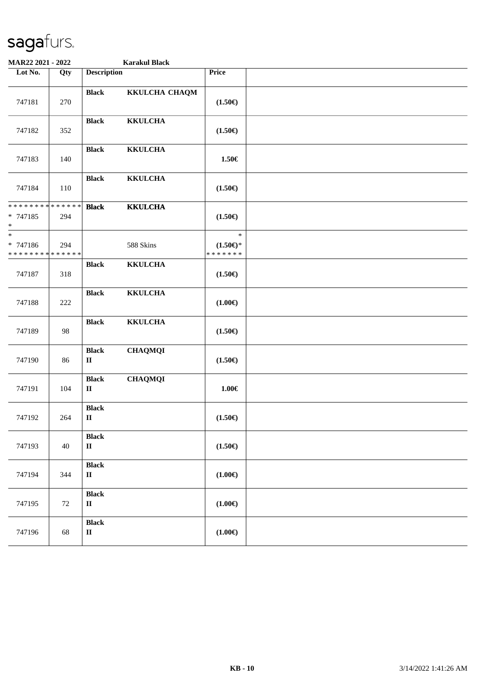| MAR22 2021 - 2022                                     |        |                                        | <b>Karakul Black</b> |                                            |  |
|-------------------------------------------------------|--------|----------------------------------------|----------------------|--------------------------------------------|--|
| Lot No.                                               | Qty    | <b>Description</b>                     |                      | Price                                      |  |
| 747181                                                | 270    | <b>Black</b>                           | KKULCHA CHAQM        | $(1.50\epsilon)$                           |  |
| 747182                                                | 352    | <b>Black</b>                           | <b>KKULCHA</b>       | $(1.50\epsilon)$                           |  |
| 747183                                                | 140    | <b>Black</b>                           | <b>KKULCHA</b>       | 1.50€                                      |  |
| 747184                                                | 110    | <b>Black</b>                           | <b>KKULCHA</b>       | $(1.50\epsilon)$                           |  |
| ******** <mark>******</mark><br>* 747185<br>$\ast$    | 294    | <b>Black</b>                           | <b>KKULCHA</b>       | $(1.50\epsilon)$                           |  |
| $_{*}^{-}$<br>* 747186<br>* * * * * * * * * * * * * * | 294    |                                        | 588 Skins            | $\ast$<br>$(1.50 \in )^*$<br>* * * * * * * |  |
| 747187                                                | 318    | <b>Black</b>                           | <b>KKULCHA</b>       | $(1.50\epsilon)$                           |  |
| 747188                                                | 222    | <b>Black</b>                           | <b>KKULCHA</b>       | $(1.00\epsilon)$                           |  |
| 747189                                                | 98     | <b>Black</b>                           | <b>KKULCHA</b>       | $(1.50\epsilon)$                           |  |
| 747190                                                | 86     | <b>Black</b><br>$\rm II$               | <b>CHAQMQI</b>       | $(1.50\epsilon)$                           |  |
| 747191                                                | 104    | <b>Black</b><br>$\mathbf{I}$           | <b>CHAQMQI</b>       | $1.00\in$                                  |  |
| 747192                                                | 264    | <b>Black</b><br>$\rm II$               |                      | $(1.50\epsilon)$                           |  |
| 747193                                                | $40\,$ | <b>Black</b><br>$\rm II$               |                      | $(1.50\epsilon)$                           |  |
| 747194                                                | 344    | <b>Black</b><br>$\mathbf{I}\mathbf{I}$ |                      | $(1.00 \infty)$                            |  |
| 747195                                                | $72\,$ | <b>Black</b><br>$\rm II$               |                      | $(1.00\epsilon)$                           |  |
| 747196                                                | 68     | <b>Black</b><br>$\rm II$               |                      | $(1.00\epsilon)$                           |  |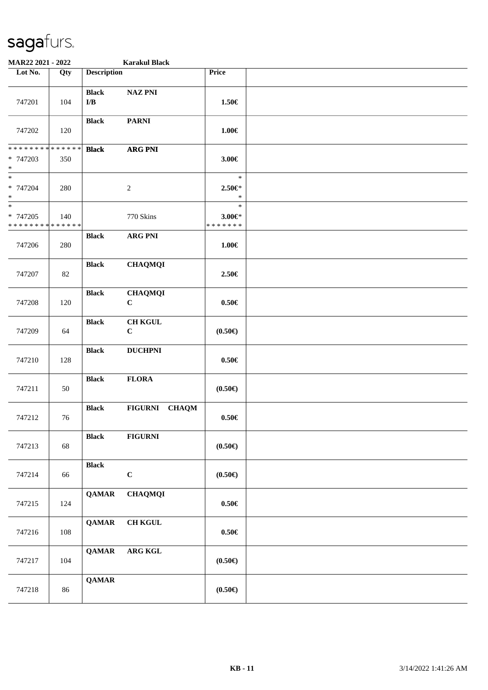| MAR22 2021 - 2022                       |                    |                                         | <b>Karakul Black</b>          |                                         |  |
|-----------------------------------------|--------------------|-----------------------------------------|-------------------------------|-----------------------------------------|--|
| Lot No.                                 | Qty                | <b>Description</b>                      |                               | Price                                   |  |
| 747201                                  | 104                | <b>Black</b><br>$\mathbf{I}/\mathbf{B}$ | <b>NAZ PNI</b>                | 1.50€                                   |  |
| 747202                                  | 120                | <b>Black</b>                            | <b>PARNI</b>                  | $1.00 \in$                              |  |
| * * * * * * * *<br>* 747203<br>$\ast$   | * * * * * *<br>350 | <b>Black</b>                            | <b>ARG PNI</b>                | 3.00€                                   |  |
| $*$<br>* 747204<br>$\ast$               | 280                |                                         | $\boldsymbol{2}$              | $\ast$<br>2.50€*<br>$\ast$              |  |
| $\ast$<br>$* 747205$<br>* * * * * * * * | 140<br>* * * * * * |                                         | 770 Skins                     | $\ast$<br>$3.00 \in$ *<br>* * * * * * * |  |
| 747206                                  | 280                | <b>Black</b>                            | <b>ARG PNI</b>                | $1.00 \in$                              |  |
| 747207                                  | 82                 | <b>Black</b>                            | <b>CHAQMQI</b>                | 2.50€                                   |  |
| 747208                                  | 120                | <b>Black</b>                            | <b>CHAQMQI</b><br>$\mathbf C$ | $0.50\in$                               |  |
| 747209                                  | 64                 | <b>Black</b>                            | <b>CH KGUL</b><br>$\bf C$     | $(0.50 \infty)$                         |  |
| 747210                                  | 128                | <b>Black</b>                            | <b>DUCHPNI</b>                | $0.50\in$                               |  |
| 747211                                  | 50                 | <b>Black</b>                            | <b>FLORA</b>                  | $(0.50 \infty)$                         |  |
| 747212                                  | 76                 | <b>Black</b>                            | FIGURNI CHAQM                 | $0.50 \in$                              |  |
| 747213                                  | 68                 | <b>Black</b>                            | <b>FIGURNI</b>                | $(0.50 \infty)$                         |  |
| 747214                                  | 66                 | <b>Black</b>                            | $\mathbf C$                   | $(0.50\epsilon)$                        |  |
| 747215                                  | 124                | <b>QAMAR</b>                            | <b>CHAQMQI</b>                | $0.50 \in$                              |  |
| 747216                                  | $108\,$            | <b>QAMAR</b>                            | $\rm CH$ KGUL                 | $0.50\in$                               |  |
| 747217                                  | 104                | <b>QAMAR</b>                            | ${\bf ARG}$ KGL               | $(0.50 \infty)$                         |  |
| 747218                                  | 86                 | <b>QAMAR</b>                            |                               | $(0.50 \infty)$                         |  |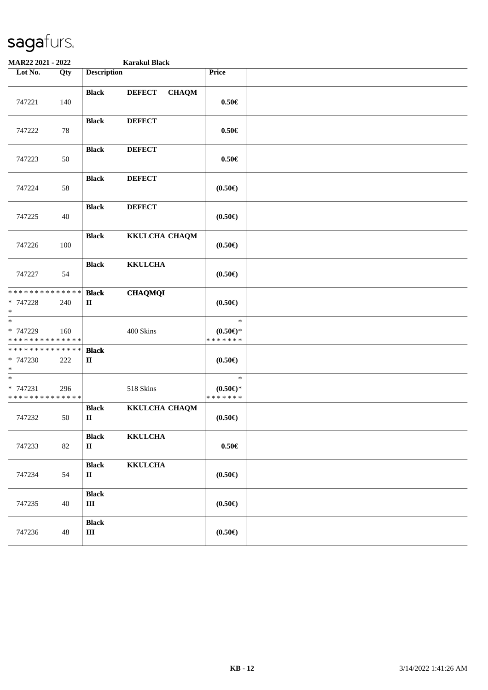| MAR22 2021 - 2022                                  |        |                                        | <b>Karakul Black</b>          |                                            |  |
|----------------------------------------------------|--------|----------------------------------------|-------------------------------|--------------------------------------------|--|
| Lot No.                                            | Qty    | <b>Description</b>                     |                               | Price                                      |  |
| 747221                                             | 140    | <b>Black</b>                           | <b>DEFECT</b><br><b>CHAQM</b> | $0.50 \in$                                 |  |
| 747222                                             | 78     | <b>Black</b>                           | <b>DEFECT</b>                 | $0.50 \in$                                 |  |
| 747223                                             | 50     | <b>Black</b>                           | <b>DEFECT</b>                 | $0.50 \in$                                 |  |
| 747224                                             | 58     | <b>Black</b>                           | <b>DEFECT</b>                 | $(0.50\epsilon)$                           |  |
| 747225                                             | 40     | <b>Black</b>                           | <b>DEFECT</b>                 | $(0.50\epsilon)$                           |  |
| 747226                                             | 100    | <b>Black</b>                           | KKULCHA CHAQM                 | $(0.50 \infty)$                            |  |
| 747227                                             | 54     | <b>Black</b>                           | <b>KKULCHA</b>                | $(0.50 \infty)$                            |  |
| ******** <mark>******</mark><br>* 747228<br>$\ast$ | 240    | <b>Black</b><br>$\mathbf{I}\mathbf{I}$ | <b>CHAQMQI</b>                | (0.50)                                     |  |
| $\ast$<br>* 747229<br>* * * * * * * * * * * * * *  | 160    |                                        | 400 Skins                     | $\ast$<br>$(0.50 \in )^*$<br>* * * * * * * |  |
| * * * * * * * * * * * * * *<br>* 747230<br>$*$     | 222    | <b>Black</b><br>П                      |                               | $(0.50\epsilon)$                           |  |
| $\ast$<br>* 747231<br>* * * * * * * * * * * * * *  | 296    |                                        | 518 Skins                     | $\ast$<br>$(0.50 \in )^*$<br>* * * * * * * |  |
| 747232                                             | 50     | <b>Black</b><br>$\mathbf I$            | KKULCHA CHAQM                 | $(0.50\epsilon)$                           |  |
| 747233                                             | $82\,$ | <b>Black</b><br>$\rm II$               | <b>KKULCHA</b>                | $0.50 \in$                                 |  |
| 747234                                             | 54     | <b>Black</b><br>$\mathbf{I}\mathbf{I}$ | <b>KKULCHA</b>                | $(0.50 \infty)$                            |  |
| 747235                                             | 40     | <b>Black</b><br>$\rm III$              |                               | $(0.50 \infty)$                            |  |
| 747236                                             | 48     | <b>Black</b><br>$\rm III$              |                               | $(0.50 \infty)$                            |  |